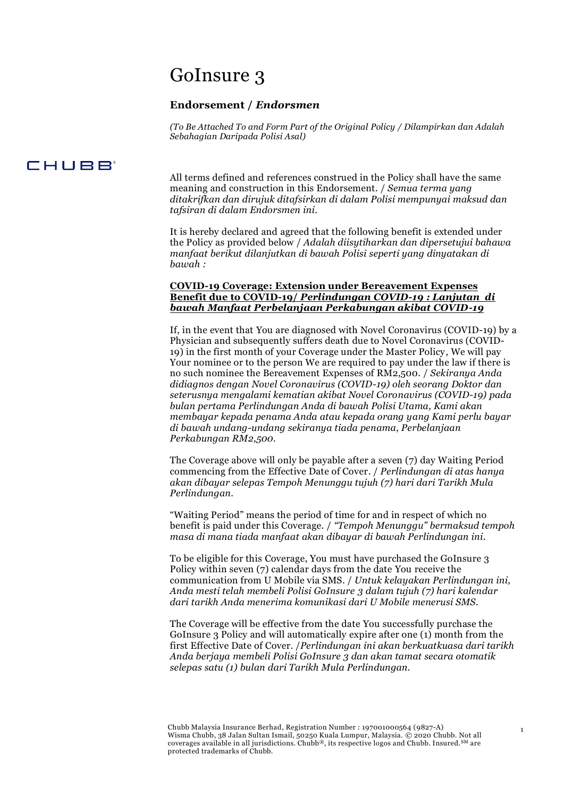# GoInsure 3

# **Endorsement /** *Endorsmen*

*(To Be Attached To and Form Part of the Original Policy / Dilampirkan dan Adalah Sebahagian Daripada Polisi Asal)*

# **CHUBB**

All terms defined and references construed in the Policy shall have the same meaning and construction in this Endorsement. / *Semua terma yang ditakrifkan dan dirujuk ditafsirkan di dalam Polisi mempunyai maksud dan tafsiran di dalam Endorsmen ini.*

It is hereby declared and agreed that the following benefit is extended under the Policy as provided below / *Adalah diisytiharkan dan dipersetujui bahawa manfaat berikut dilanjutkan di bawah Polisi seperti yang dinyatakan di bawah :*

# **COVID-19 Coverage: Extension under Bereavement Expenses Benefit due to COVID-19/** *Perlindungan COVID-19 : Lanjutan di bawah Manfaat Perbelanjaan Perkabungan akibat COVID-19*

If, in the event that You are diagnosed with Novel Coronavirus (COVID-19) by a Physician and subsequently suffers death due to Novel Coronavirus (COVID-19) in the first month of your Coverage under the Master Policy, We will pay Your nominee or to the person We are required to pay under the law if there is no such nominee the Bereavement Expenses of RM2,500. / *Sekiranya Anda didiagnos dengan Novel Coronavirus (COVID-19) oleh seorang Doktor dan seterusnya mengalami kematian akibat Novel Coronavirus (COVID-19) pada bulan pertama Perlindungan Anda di bawah Polisi Utama, Kami akan membayar kepada penama Anda atau kepada orang yang Kami perlu bayar di bawah undang-undang sekiranya tiada penama, Perbelanjaan Perkabungan RM2,500.*

The Coverage above will only be payable after a seven (7) day Waiting Period commencing from the Effective Date of Cover. / *Perlindungan di atas hanya akan dibayar selepas Tempoh Menunggu tujuh (7) hari dari Tarikh Mula Perlindungan.*

"Waiting Period" means the period of time for and in respect of which no benefit is paid under this Coverage. / *"Tempoh Menunggu" bermaksud tempoh masa di mana tiada manfaat akan dibayar di bawah Perlindungan ini.*

To be eligible for this Coverage, You must have purchased the GoInsure 3 Policy within seven (7) calendar days from the date You receive the communication from U Mobile via SMS. / *Untuk kelayakan Perlindungan ini, Anda mesti telah membeli Polisi GoInsure 3 dalam tujuh (7) hari kalendar dari tarikh Anda menerima komunikasi dari U Mobile menerusi SMS.*

The Coverage will be effective from the date You successfully purchase the GoInsure 3 Policy and will automatically expire after one (1) month from the first Effective Date of Cover. /*Perlindungan ini akan berkuatkuasa dari tarikh Anda berjaya membeli Polisi GoInsure 3 dan akan tamat secara otomatik selepas satu (1) bulan dari Tarikh Mula Perlindungan.*

1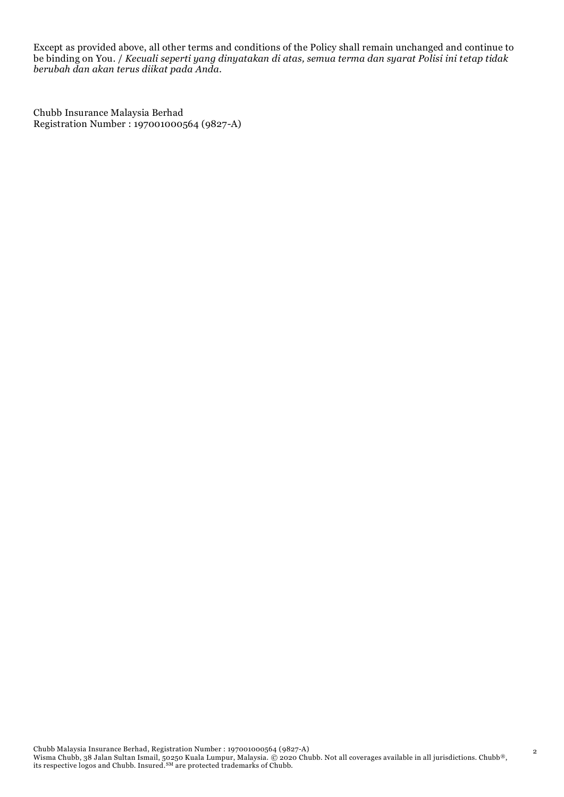Except as provided above, all other terms and conditions of the Policy shall remain unchanged and continue to be binding on You. / *Kecuali seperti yang dinyatakan di atas, semua terma dan syarat Polisi ini tetap tidak berubah dan akan terus diikat pada Anda.*

Chubb Insurance Malaysia Berhad Registration Number : 197001000564 (9827-A)

2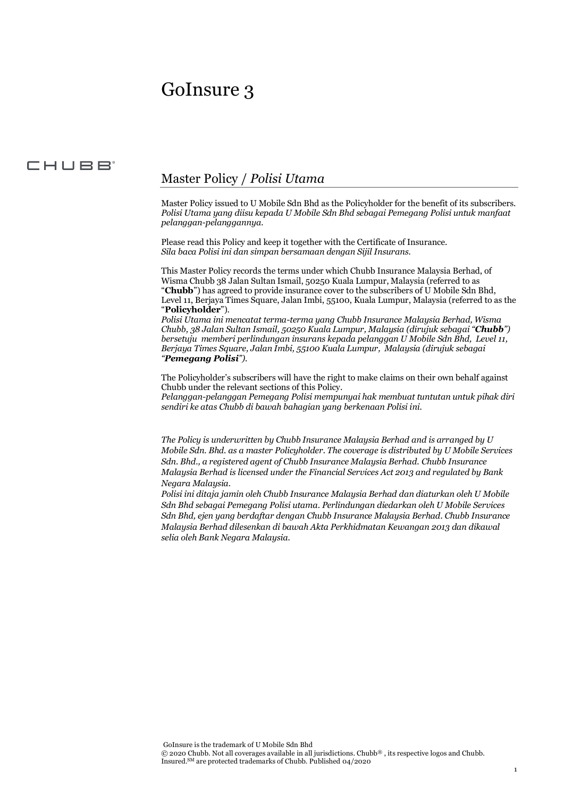# GoInsure 3

# CHUBB<sup>®</sup>

# Master Policy / *Polisi Utama*

Master Policy issued to U Mobile Sdn Bhd as the Policyholder for the benefit of its subscribers. *Polisi Utama yang diisu kepada U Mobile Sdn Bhd sebagai Pemegang Polisi untuk manfaat pelanggan-pelanggannya.* 

Please read this Policy and keep it together with the Certificate of Insurance. *Sila baca Polisi ini dan simpan bersamaan dengan Sijil Insurans.*

This Master Policy records the terms under which Chubb Insurance Malaysia Berhad, of Wisma Chubb 38 Jalan Sultan Ismail, 50250 Kuala Lumpur, Malaysia (referred to as "**Chubb**") has agreed to provide insurance cover to the subscribers of U Mobile Sdn Bhd, Level 11, Berjaya Times Square, Jalan Imbi, 55100, Kuala Lumpur, Malaysia (referred to as the "**Policyholder**").

*Polisi Utama ini mencatat terma-terma yang Chubb Insurance Malaysia Berhad, Wisma Chubb, 38 Jalan Sultan Ismail, 50250 Kuala Lumpur, Malaysia (dirujuk sebagai "Chubb") bersetuju memberi perlindungan insurans kepada pelanggan U Mobile Sdn Bhd, Level 11, Berjaya Times Square, Jalan Imbi, 55100 Kuala Lumpur, Malaysia (dirujuk sebagai "Pemegang Polisi").* 

The Policyholder's subscribers will have the right to make claims on their own behalf against Chubb under the relevant sections of this Policy.

*Pelanggan-pelanggan Pemegang Polisi mempunyai hak membuat tuntutan untuk pihak diri sendiri ke atas Chubb di bawah bahagian yang berkenaan Polisi ini.*

*The Policy is underwritten by Chubb Insurance Malaysia Berhad and is arranged by U Mobile Sdn. Bhd. as a master Policyholder. The coverage is distributed by U Mobile Services Sdn. Bhd., a registered agent of Chubb Insurance Malaysia Berhad. Chubb Insurance Malaysia Berhad is licensed under the Financial Services Act 2013 and regulated by Bank Negara Malaysia.*

*Polisi ini ditaja jamin oleh Chubb Insurance Malaysia Berhad dan diaturkan oleh U Mobile Sdn Bhd sebagai Pemegang Polisi utama. Perlindungan diedarkan oleh U Mobile Services Sdn Bhd, ejen yang berdaftar dengan Chubb Insurance Malaysia Berhad. Chubb Insurance Malaysia Berhad dilesenkan di bawah Akta Perkhidmatan Kewangan 2013 dan dikawal selia oleh Bank Negara Malaysia.*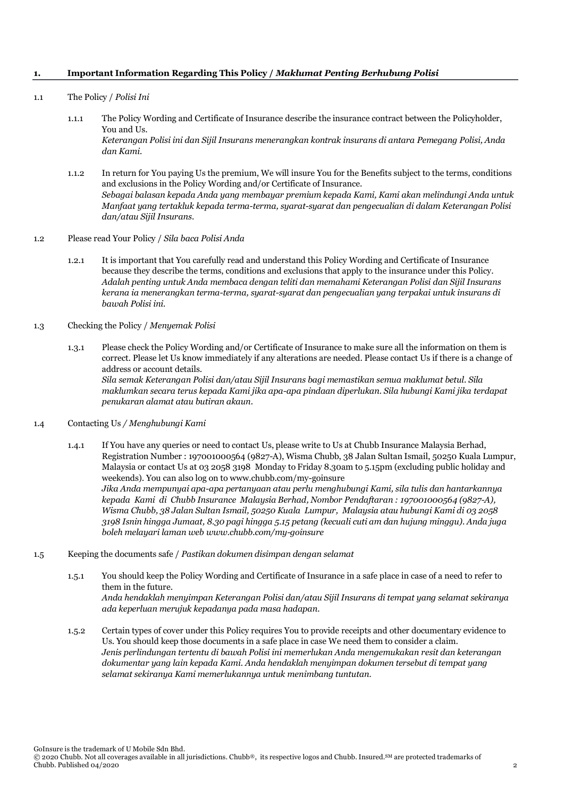#### **1. Important Information Regarding This Policy /** *Maklumat Penting Berhubung Polisi*

- 1.1 The Policy / *Polisi Ini* 
	- 1.1.1 The Policy Wording and Certificate of Insurance describe the insurance contract between the Policyholder, You and Us. *Keterangan Polisi ini dan Sijil Insurans menerangkan kontrak insurans di antara Pemegang Polisi, Anda*
	- 1.1.2 In return for You paying Us the premium, We will insure You for the Benefits subject to the terms, conditions and exclusions in the Policy Wording and/or Certificate of Insurance. *Sebagai balasan kepada Anda yang membayar premium kepada Kami, Kami akan melindungi Anda untuk Manfaat yang tertakluk kepada terma-terma, syarat-syarat dan pengecualian di dalam Keterangan Polisi dan/atau Sijil Insurans.*
- 1.2 Please read Your Policy / *Sila baca Polisi Anda*

*dan Kami.*

- 1.2.1 It is important that You carefully read and understand this Policy Wording and Certificate of Insurance because they describe the terms, conditions and exclusions that apply to the insurance under this Policy. *Adalah penting untuk Anda membaca dengan teliti dan memahami Keterangan Polisi dan Sijil Insurans kerana ia menerangkan terma-terma, syarat-syarat dan pengecualian yang terpakai untuk insurans di bawah Polisi ini.*
- 1.3 Checking the Policy / *Menyemak Polisi*
	- 1.3.1 Please check the Policy Wording and/or Certificate of Insurance to make sure all the information on them is correct. Please let Us know immediately if any alterations are needed. Please contact Us if there is a change of address or account details. *Sila semak Keterangan Polisi dan/atau Sijil Insurans bagi memastikan semua maklumat betul. Sila maklumkan secara terus kepada Kami jika apa-apa pindaan diperlukan. Sila hubungi Kami jika terdapat penukaran alamat atau butiran akaun.*
- 1.4 Contacting Us */ Menghubungi Kami*
	- 1.4.1 If You have any queries or need to contact Us, please write to Us at Chubb Insurance Malaysia Berhad, Registration Number : 197001000564 (9827-A), Wisma Chubb, 38 Jalan Sultan Ismail, 50250 Kuala Lumpur, Malaysia or contact Us at 03 2058 3198 Monday to Friday 8.30am to 5.15pm (excluding public holiday and weekends). You can also log on to www.chubb.com/my-goinsure *Jika Anda mempunyai apa-apa pertanyaan atau perlu menghubungi Kami, sila tulis dan hantarkannya kepada Kami di Chubb Insurance Malaysia Berhad, Nombor Pendaftaran : 197001000564 (9827-A), Wisma Chubb, 38 Jalan Sultan Ismail, 50250 Kuala Lumpur, Malaysia atau hubungi Kami di 03 2058 3198 Isnin hingga Jumaat, 8.30 pagi hingga 5.15 petang (kecuali cuti am dan hujung minggu). Anda juga boleh melayari laman web www.chubb.com/my-goinsure*
- 1.5 Keeping the documents safe / *Pastikan dokumen disimpan dengan selamat*
	- 1.5.1 You should keep the Policy Wording and Certificate of Insurance in a safe place in case of a need to refer to them in the future. *Anda hendaklah menyimpan Keterangan Polisi dan/atau Sijil Insurans di tempat yang selamat sekiranya ada keperluan merujuk kepadanya pada masa hadapan.*
	- 1.5.2 Certain types of cover under this Policy requires You to provide receipts and other documentary evidence to Us. You should keep those documents in a safe place in case We need them to consider a claim. *Jenis perlindungan tertentu di bawah Polisi ini memerlukan Anda mengemukakan resit dan keterangan dokumentar yang lain kepada Kami. Anda hendaklah menyimpan dokumen tersebut di tempat yang selamat sekiranya Kami memerlukannya untuk menimbang tuntutan.*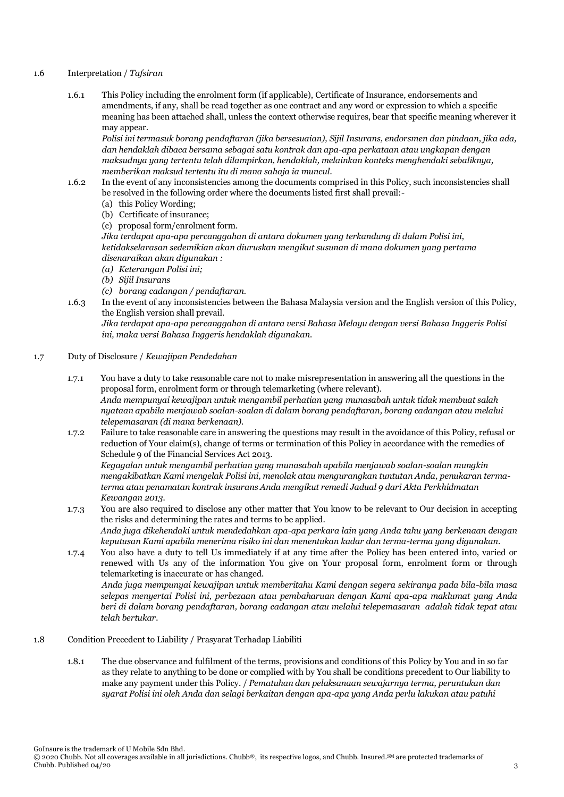- 1.6 Interpretation / *Tafsiran*
	- 1.6.1 This Policy including the enrolment form (if applicable), Certificate of Insurance, endorsements and amendments, if any, shall be read together as one contract and any word or expression to which a specific meaning has been attached shall, unless the context otherwise requires, bear that specific meaning wherever it may appear.

*Polisi ini termasuk borang pendaftaran (jika bersesuaian), Sijil Insurans, endorsmen dan pindaan, jika ada, dan hendaklah dibaca bersama sebagai satu kontrak dan apa-apa perkataan atau ungkapan dengan maksudnya yang tertentu telah dilampirkan, hendaklah, melainkan konteks menghendaki sebaliknya, memberikan maksud tertentu itu di mana sahaja ia muncul.*

- 1.6.2 In the event of any inconsistencies among the documents comprised in this Policy, such inconsistencies shall be resolved in the following order where the documents listed first shall prevail:-
	- (a) this Policy Wording;
	- (b) Certificate of insurance;
	- (c) proposal form/enrolment form.

*Jika terdapat apa-apa percanggahan di antara dokumen yang terkandung di dalam Polisi ini, ketidakselarasan sedemikian akan diuruskan mengikut susunan di mana dokumen yang pertama disenaraikan akan digunakan :*

- *(a) Keterangan Polisi ini;*
- *(b) Sijil Insurans*
- *(c) borang cadangan / pendaftaran.*
- 1.6.3 In the event of any inconsistencies between the Bahasa Malaysia version and the English version of this Policy, the English version shall prevail.

*Jika terdapat apa-apa percanggahan di antara versi Bahasa Melayu dengan versi Bahasa Inggeris Polisi ini, maka versi Bahasa Inggeris hendaklah digunakan.*

- 1.7 Duty of Disclosure / *Kewajipan Pendedahan*
	- 1.7.1 You have a duty to take reasonable care not to make misrepresentation in answering all the questions in the proposal form, enrolment form or through telemarketing (where relevant). *Anda mempunyai kewajipan untuk mengambil perhatian yang munasabah untuk tidak membuat salah nyataan apabila menjawab soalan-soalan di dalam borang pendaftaran, borang cadangan atau melalui telepemasaran (di mana berkenaan).*
	- 1.7.2 Failure to take reasonable care in answering the questions may result in the avoidance of this Policy, refusal or reduction of Your claim(s), change of terms or termination of this Policy in accordance with the remedies of Schedule 9 of the Financial Services Act 2013.

*Kegagalan untuk mengambil perhatian yang munasabah apabila menjawab soalan-soalan mungkin mengakibatkan Kami mengelak Polisi ini, menolak atau mengurangkan tuntutan Anda, penukaran termaterma atau penamatan kontrak insurans Anda mengikut remedi Jadual 9 dari Akta Perkhidmatan Kewangan 2013.* 

- 1.7.3 You are also required to disclose any other matter that You know to be relevant to Our decision in accepting the risks and determining the rates and terms to be applied. *Anda juga dikehendaki untuk mendedahkan apa-apa perkara lain yang Anda tahu yang berkenaan dengan keputusan Kami apabila menerima risiko ini dan menentukan kadar dan terma-terma yang digunakan.*
- 1.7.4 You also have a duty to tell Us immediately if at any time after the Policy has been entered into, varied or renewed with Us any of the information You give on Your proposal form, enrolment form or through telemarketing is inaccurate or has changed. *Anda juga mempunyai kewajipan untuk memberitahu Kami dengan segera sekiranya pada bila-bila masa selepas menyertai Polisi ini, perbezaan atau pembaharuan dengan Kami apa-apa maklumat yang Anda beri di dalam borang pendaftaran, borang cadangan atau melalui telepemasaran adalah tidak tepat atau telah bertukar.*
- 1.8 Condition Precedent to Liability / Prasyarat Terhadap Liabiliti
	- 1.8.1 The due observance and fulfilment of the terms, provisions and conditions of this Policy by You and in so far as they relate to anything to be done or complied with by You shall be conditions precedent to Our liability to make any payment under this Policy. / *Pematuhan dan pelaksanaan sewajarnya terma, peruntukan dan syarat Polisi ini oleh Anda dan selagi berkaitan dengan apa-apa yang Anda perlu lakukan atau patuhi*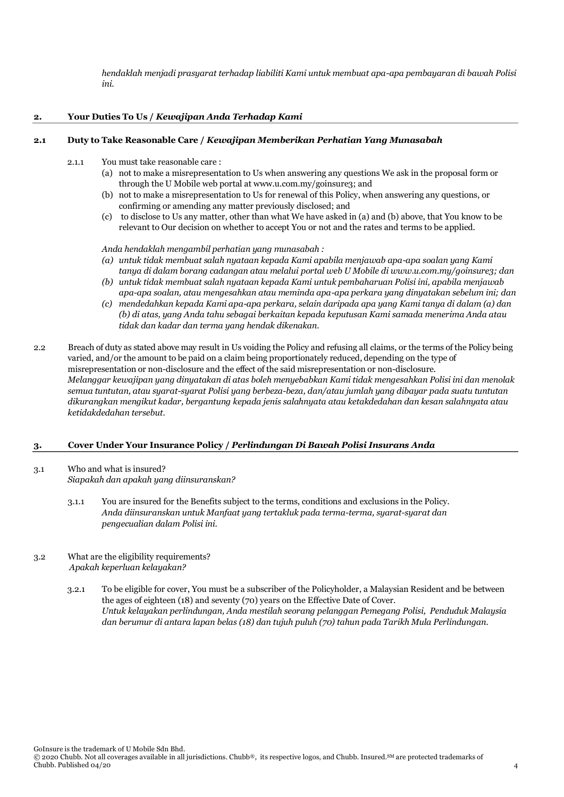*hendaklah menjadi prasyarat terhadap liabiliti Kami untuk membuat apa-apa pembayaran di bawah Polisi ini.*

# **2. Your Duties To Us /** *Kewajipan Anda Terhadap Kami*

#### **2.1 Duty to Take Reasonable Care /** *Kewajipan Memberikan Perhatian Yang Munasabah*

- 2.1.1 You must take reasonable care :
	- (a) not to make a misrepresentation to Us when answering any questions We ask in the proposal form or through the U Mobile web portal at www.u.com.my/goinsure3; and
	- (b) not to make a misrepresentation to Us for renewal of this Policy, when answering any questions, or confirming or amending any matter previously disclosed; and
	- (c) to disclose to Us any matter, other than what We have asked in (a) and (b) above, that You know to be relevant to Our decision on whether to accept You or not and the rates and terms to be applied.
	- *Anda hendaklah mengambil perhatian yang munasabah :*
	- *(a) untuk tidak membuat salah nyataan kepada Kami apabila menjawab apa-apa soalan yang Kami tanya di dalam borang cadangan atau melalui portal web U Mobile di www.u.com.my/goinsure3; dan*
	- *(b) untuk tidak membuat salah nyataan kepada Kami untuk pembaharuan Polisi ini, apabila menjawab apa-apa soalan, atau mengesahkan atau meminda apa-apa perkara yang dinyatakan sebelum ini; dan*
	- *(c) mendedahkan kepada Kami apa-apa perkara, selain daripada apa yang Kami tanya di dalam (a) dan (b) di atas, yang Anda tahu sebagai berkaitan kepada keputusan Kami samada menerima Anda atau tidak dan kadar dan terma yang hendak dikenakan.*
- 2.2 Breach of duty as stated above may result in Us voiding the Policy and refusing all claims, or the terms of the Policy being varied, and/or the amount to be paid on a claim being proportionately reduced, depending on the type of misrepresentation or non-disclosure and the effect of the said misrepresentation or non-disclosure. *Melanggar kewajipan yang dinyatakan di atas boleh menyebabkan Kami tidak mengesahkan Polisi ini dan menolak semua tuntutan, atau syarat-syarat Polisi yang berbeza-beza, dan/atau jumlah yang dibayar pada suatu tuntutan dikurangkan mengikut kadar, bergantung kepada jenis salahnyata atau ketakdedahan dan kesan salahnyata atau ketidakdedahan tersebut.*

# **3. Cover Under Your Insurance Policy /** *Perlindungan Di Bawah Polisi Insurans Anda*

- 3.1 Who and what is insured? *Siapakah dan apakah yang diinsuranskan?*
	- 3.1.1 You are insured for the Benefits subject to the terms, conditions and exclusions in the Policy. *Anda diinsuranskan untuk Manfaat yang tertakluk pada terma-terma, syarat-syarat dan pengecualian dalam Polisi ini.*
- 3.2 What are the eligibility requirements? *Apakah keperluan kelayakan?*
	- 3.2.1 To be eligible for cover, You must be a subscriber of the Policyholder, a Malaysian Resident and be between the ages of eighteen (18) and seventy (70) years on the Effective Date of Cover. *Untuk kelayakan perlindungan, Anda mestilah seorang pelanggan Pemegang Polisi, Penduduk Malaysia dan berumur di antara lapan belas (18) dan tujuh puluh (70) tahun pada Tarikh Mula Perlindungan.*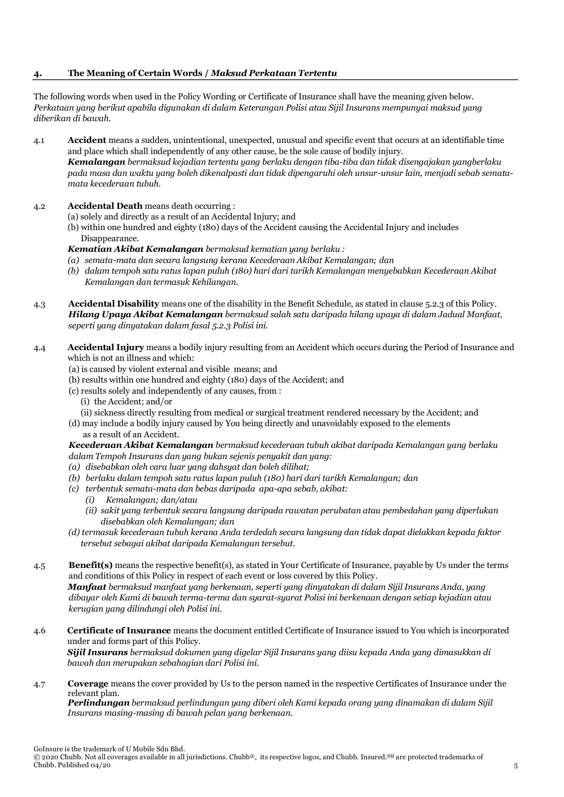# **4. The Meaning of Certain Words /** *Maksud Perkataan Tertentu*

The following words when used in the Policy Wording or Certificate of Insurance shall have the meaning given below. *Perkataan yang berikut apabila digunakan di dalam Keterangan Polisi atau Sijil Insurans mempunyai maksud yang diberikan di bawah.*

- 4.1 **Accident** means a sudden, unintentional, unexpected, unusual and specific event that occurs at an identifiable time and place which shall independently of any other cause, be the sole cause of bodily injury. *Kemalangan bermaksud kejadian tertentu yang berlaku dengan tiba-tiba dan tidak disengajakan yangberlaku pada masa dan waktu yang boleh dikenalpasti dan tidak dipengaruhi oleh unsur-unsur lain, menjadi sebab sematamata kecederaan tubuh.*
- 4.2 **Accidental Death** means death occurring :
	- (a) solely and directly as a result of an Accidental Injury; and
	- (b) within one hundred and eighty (180) days of the Accident causing the Accidental Injury and includes Disappearance.
	- *Kematian Akibat Kemalangan bermaksud kematian yang berlaku :*
	- *(a) semata-mata dan secara langsung kerana Kecederaan Akibat Kemalangan; dan*
	- *(b) dalam tempoh satu ratus lapan puluh (180) hari dari tarikh Kemalangan menyebabkan Kecederaan Akibat Kemalangan dan termasuk Kehilangan.*
- 4.3 **Accidental Disability** means one of the disability in the Benefit Schedule, as stated in clause 5.2.3 of this Policy. *Hilang Upaya Akibat Kemalangan bermaksud salah satu daripada hilang upaya di dalam Jadual Manfaat, seperti yang dinyatakan dalam fasal 5.2.3 Polisi ini.*
- 4.4 **Accidental Injury** means a bodily injury resulting from an Accident which occurs during the Period of Insurance and which is not an illness and which:
	- (a) is caused by violent external and visible means; and
	- (b) results within one hundred and eighty (180) days of the Accident; and
	- (c) results solely and independently of any causes, from :
		- (i) the Accident; and/or
		- (ii) sickness directly resulting from medical or surgical treatment rendered necessary by the Accident; and
	- (d) may include a bodily injury caused by You being directly and unavoidably exposed to the elements as a result of an Accident.

*Kecederaan Akibat Kemalangan bermaksud kecederaan tubuh akibat daripada Kemalangan yang berlaku dalam Tempoh Insurans dan yang bukan sejenis penyakit dan yang:*

- *(a) disebabkan oleh cara luar yang dahsyat dan boleh dilihat;*
- *(b) berlaku dalam tempoh satu ratus lapan puluh (180) hari dari tarikh Kemalangan; dan*
- *(c) terbentuk semata-mata dan bebas daripada apa-apa sebab, akibat:*
	- *(i) Kemalangan; dan/atau*
	- *(ii) sakit yang terbentuk secara langsung daripada rawatan perubatan atau pembedahan yang diperlukan disebabkan oleh Kemalangan; dan*
- *(d) termasuk kecederaan tubuh kerana Anda terdedah secara langsung dan tidak dapat dielakkan kepada faktor tersebut sebagai akibat daripada Kemalangan tersebut.*
- 4.5 **Benefit(s)** means the respective benefit(s), as stated in Your Certificate of Insurance, payable by Us under the terms and conditions of this Policy in respect of each event or loss covered by this Policy. *Manfaat bermaksud manfaat yang berkenaan, seperti yang dinyatakan di dalam Sijil Insurans Anda, yang dibayar oleh Kami di bawah terma-terma dan syarat-syarat Polisi ini berkenaan dengan setiap kejadian atau kerugian yang dilindungi oleh Polisi ini.*
- 4.6 **Certificate of Insurance** means the document entitled Certificate of Insurance issued to You which is incorporated under and forms part of this Policy. *Sijil Insurans bermaksud dokumen yang digelar Sijil Insurans yang diisu kepada Anda yang dimasukkan di bawah dan merupakan sebahagian dari Polisi ini.*
- 4.7 **Coverage** means the cover provided by Us to the person named in the respective Certificates of Insurance under the relevant plan.

*Perlindungan bermaksud perlindungan yang diberi oleh Kami kepada orang yang dinamakan di dalam Sijil Insurans masing-masing di bawah pelan yang berkenaan.*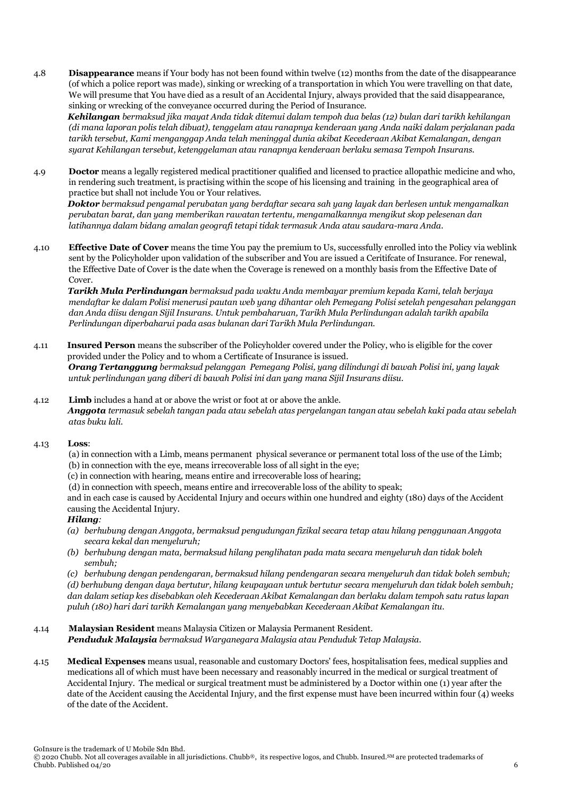4.8 **Disappearance** means if Your body has not been found within twelve (12) months from the date of the disappearance (of which a police report was made), sinking or wrecking of a transportation in which You were travelling on that date, We will presume that You have died as a result of an Accidental Injury, always provided that the said disappearance, sinking or wrecking of the conveyance occurred during the Period of Insurance.

*Kehilangan bermaksud jika mayat Anda tidak ditemui dalam tempoh dua belas (12) bulan dari tarikh kehilangan (di mana laporan polis telah dibuat), tenggelam atau ranapnya kenderaan yang Anda naiki dalam perjalanan pada tarikh tersebut, Kami menganggap Anda telah meninggal dunia akibat Kecederaan Akibat Kemalangan, dengan syarat Kehilangan tersebut, ketenggelaman atau ranapnya kenderaan berlaku semasa Tempoh Insurans.*

4.9 **Doctor** means a legally registered medical practitioner qualified and licensed to practice allopathic medicine and who, in rendering such treatment, is practising within the scope of his licensing and training in the geographical area of practice but shall not include You or Your relatives.

*Doktor bermaksud pengamal perubatan yang berdaftar secara sah yang layak dan berlesen untuk mengamalkan perubatan barat, dan yang memberikan rawatan tertentu, mengamalkannya mengikut skop pelesenan dan latihannya dalam bidang amalan geografi tetapi tidak termasuk Anda atau saudara-mara Anda.*

4.10 **Effective Date of Cover** means the time You pay the premium to Us, successfully enrolled into the Policy via weblink sent by the Policyholder upon validation of the subscriber and You are issued a Ceritifcate of Insurance. For renewal, the Effective Date of Cover is the date when the Coverage is renewed on a monthly basis from the Effective Date of Cover.

*Tarikh Mula Perlindungan bermaksud pada waktu Anda membayar premium kepada Kami, telah berjaya mendaftar ke dalam Polisi menerusi pautan web yang dihantar oleh Pemegang Polisi setelah pengesahan pelanggan dan Anda diisu dengan Sijil Insurans. Untuk pembaharuan, Tarikh Mula Perlindungan adalah tarikh apabila Perlindungan diperbaharui pada asas bulanan dari Tarikh Mula Perlindungan.* 

- 4.11 **Insured Person** means the subscriber of the Policyholder covered under the Policy, who is eligible for the cover provided under the Policy and to whom a Certificate of Insurance is issued.  *Orang Tertanggung bermaksud pelanggan Pemegang Polisi, yang dilindungi di bawah Polisi ini, yang layak untuk perlindungan yang diberi di bawah Polisi ini dan yang mana Sijil Insurans diisu.*
- 4.12 **Limb** includes a hand at or above the wrist or foot at or above the ankle. *Anggota termasuk sebelah tangan pada atau sebelah atas pergelangan tangan atau sebelah kaki pada atau sebelah atas buku lali.*

# 4.13 **Loss**:

- (a) in connection with a Limb, means permanent physical severance or permanent total loss of the use of the Limb; (b) in connection with the eye, means irrecoverable loss of all sight in the eye;
- (c) in connection with hearing, means entire and irrecoverable loss of hearing;
- (d) in connection with speech, means entire and irrecoverable loss of the ability to speak;

and in each case is caused by Accidental Injury and occurs within one hundred and eighty (180) days of the Accident causing the Accidental Injury.

# *Hilang:*

- *(a) berhubung dengan Anggota, bermaksud pengudungan fizikal secara tetap atau hilang penggunaan Anggota secara kekal dan menyeluruh;*
- *(b) berhubung dengan mata, bermaksud hilang penglihatan pada mata secara menyeluruh dan tidak boleh sembuh;*

*(c) berhubung dengan pendengaran, bermaksud hilang pendengaran secara menyeluruh dan tidak boleh sembuh; (d) berhubung dengan daya bertutur, hilang keupayaan untuk bertutur secara menyeluruh dan tidak boleh sembuh; dan dalam setiap kes disebabkan oleh Kecederaan Akibat Kemalangan dan berlaku dalam tempoh satu ratus lapan puluh (180) hari dari tarikh Kemalangan yang menyebabkan Kecederaan Akibat Kemalangan itu.* 

- 4.14 **Malaysian Resident** means Malaysia Citizen or Malaysia Permanent Resident.
- *Penduduk Malaysia bermaksud Warganegara Malaysia atau Penduduk Tetap Malaysia.*
- 4.15 **Medical Expenses** means usual, reasonable and customary Doctors' fees, hospitalisation fees, medical supplies and medications all of which must have been necessary and reasonably incurred in the medical or surgical treatment of Accidental Injury. The medical or surgical treatment must be administered by a Doctor within one (1) year after the date of the Accident causing the Accidental Injury, and the first expense must have been incurred within four (4) weeks of the date of the Accident.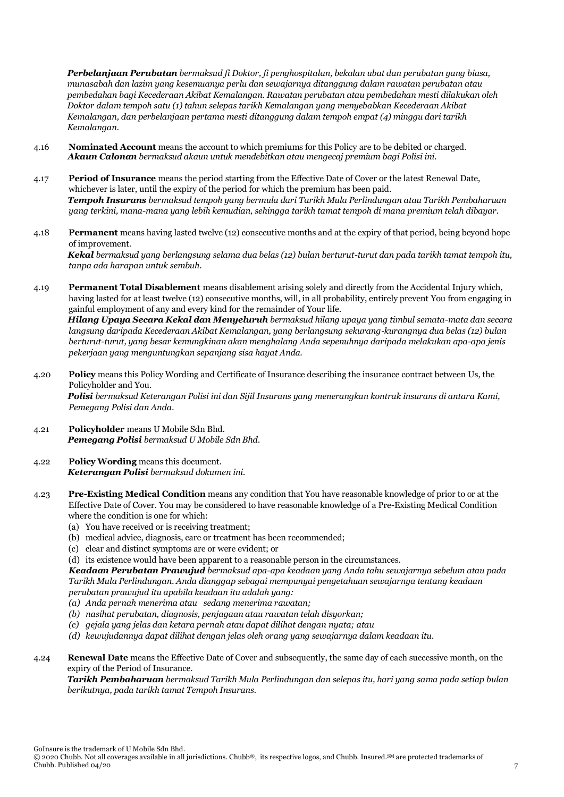*Perbelanjaan Perubatan bermaksud fi Doktor, fi penghospitalan, bekalan ubat dan perubatan yang biasa, munasabah dan lazim yang kesemuanya perlu dan sewajarnya ditanggung dalam rawatan perubatan atau pembedahan bagi Kecederaan Akibat Kemalangan. Rawatan perubatan atau pembedahan mesti dilakukan oleh Doktor dalam tempoh satu (1) tahun selepas tarikh Kemalangan yang menyebabkan Kecederaan Akibat Kemalangan, dan perbelanjaan pertama mesti ditanggung dalam tempoh empat (4) minggu dari tarikh Kemalangan.*

- 4.16 **Nominated Account** means the account to which premiums for this Policy are to be debited or charged. *Akaun Calonan bermaksud akaun untuk mendebitkan atau mengecaj premium bagi Polisi ini.*
- 4.17 **Period of Insurance** means the period starting from the Effective Date of Cover or the latest Renewal Date, whichever is later, until the expiry of the period for which the premium has been paid. *Tempoh Insurans bermaksud tempoh yang bermula dari Tarikh Mula Perlindungan atau Tarikh Pembaharuan yang terkini, mana-mana yang lebih kemudian, sehingga tarikh tamat tempoh di mana premium telah dibayar.*
- 4.18 **Permanent** means having lasted twelve (12) consecutive months and at the expiry of that period, being beyond hope of improvement. *Kekal bermaksud yang berlangsung selama dua belas (12) bulan berturut-turut dan pada tarikh tamat tempoh itu, tanpa ada harapan untuk sembuh.*
- 4.19 **Permanent Total Disablement** means disablement arising solely and directly from the Accidental Injury which, having lasted for at least twelve (12) consecutive months, will, in all probability, entirely prevent You from engaging in gainful employment of any and every kind for the remainder of Your life. *Hilang Upaya Secara Kekal dan Menyeluruh bermaksud hilang upaya yang timbul semata-mata dan secara langsung daripada Kecederaan Akibat Kemalangan, yang berlangsung sekurang-kurangnya dua belas (12) bulan berturut-turut, yang besar kemungkinan akan menghalang Anda sepenuhnya daripada melakukan apa-apa jenis pekerjaan yang menguntungkan sepanjang sisa hayat Anda.*
- 4.20 **Policy** means this Policy Wording and Certificate of Insurance describing the insurance contract between Us, the Policyholder and You. *Polisi bermaksud Keterangan Polisi ini dan Sijil Insurans yang menerangkan kontrak insurans di antara Kami, Pemegang Polisi dan Anda.*
- 4.21 **Policyholder** means U Mobile Sdn Bhd. *Pemegang Polisi bermaksud U Mobile Sdn Bhd.*
- 4.22 **Policy Wording** means this document. *Keterangan Polisi bermaksud dokumen ini.*
- 4.23 **Pre-Existing Medical Condition** means any condition that You have reasonable knowledge of prior to or at the Effective Date of Cover. You may be considered to have reasonable knowledge of a Pre-Existing Medical Condition where the condition is one for which:
	- (a) You have received or is receiving treatment;
	- (b) medical advice, diagnosis, care or treatment has been recommended;
	- (c) clear and distinct symptoms are or were evident; or
	- (d) its existence would have been apparent to a reasonable person in the circumstances.

*Keadaan Perubatan Prawujud bermaksud apa-apa keadaan yang Anda tahu sewajarnya sebelum atau pada Tarikh Mula Perlindungan. Anda dianggap sebagai mempunyai pengetahuan sewajarnya tentang keadaan perubatan prawujud itu apabila keadaan itu adalah yang:* 

- *(a) Anda pernah menerima atau sedang menerima rawatan;*
- *(b) nasihat perubatan, diagnosis, penjagaan atau rawatan telah disyorkan;*
- *(c) gejala yang jelas dan ketara pernah atau dapat dilihat dengan nyata; atau*
- *(d) kewujudannya dapat dilihat dengan jelas oleh orang yang sewajarnya dalam keadaan itu.*
- 4.24 **Renewal Date** means the Effective Date of Cover and subsequently, the same day of each successive month, on the expiry of the Period of Insurance.

*Tarikh Pembaharuan bermaksud Tarikh Mula Perlindungan dan selepas itu, hari yang sama pada setiap bulan berikutnya, pada tarikh tamat Tempoh Insurans.*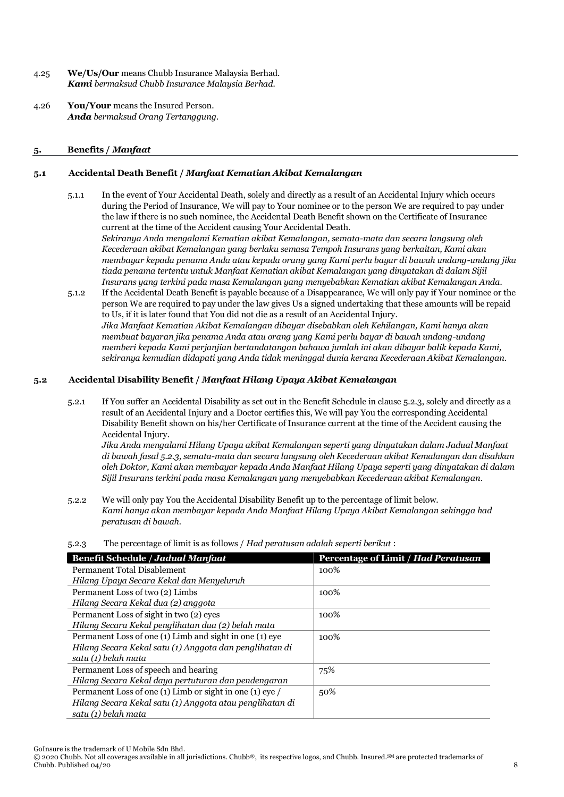- 4.25 **We/Us/Our** means Chubb Insurance Malaysia Berhad. *Kami bermaksud Chubb Insurance Malaysia Berhad.*
- 4.26 **You/Your** means the Insured Person. *Anda bermaksud Orang Tertanggung.*

# **5. Benefits /** *Manfaat*

# **5.1 Accidental Death Benefit /** *Manfaat Kematian Akibat Kemalangan*

5.1.1 In the event of Your Accidental Death, solely and directly as a result of an Accidental Injury which occurs during the Period of Insurance, We will pay to Your nominee or to the person We are required to pay under the law if there is no such nominee, the Accidental Death Benefit shown on the Certificate of Insurance current at the time of the Accident causing Your Accidental Death.

*Sekiranya Anda mengalami Kematian akibat Kemalangan, semata-mata dan secara langsung oleh Kecederaan akibat Kemalangan yang berlaku semasa Tempoh Insurans yang berkaitan, Kami akan membayar kepada penama Anda atau kepada orang yang Kami perlu bayar di bawah undang-undang jika tiada penama tertentu untuk Manfaat Kematian akibat Kemalangan yang dinyatakan di dalam Sijil Insurans yang terkini pada masa Kemalangan yang menyebabkan Kematian akibat Kemalangan Anda.* 

5.1.2 If the Accidental Death Benefit is payable because of a Disappearance, We will only pay if Your nominee or the person We are required to pay under the law gives Us a signed undertaking that these amounts will be repaid to Us, if it is later found that You did not die as a result of an Accidental Injury. *Jika Manfaat Kematian Akibat Kemalangan dibayar disebabkan oleh Kehilangan, Kami hanya akan membuat bayaran jika penama Anda atau orang yang Kami perlu bayar di bawah undang-undang memberi kepada Kami perjanjian bertandatangan bahawa jumlah ini akan dibayar balik kepada Kami, sekiranya kemudian didapati yang Anda tidak meninggal dunia kerana Kecederaan Akibat Kemalangan.*

# **5.2 Accidental Disability Benefit /** *Manfaat Hilang Upaya Akibat Kemalangan*

5.2.1 If You suffer an Accidental Disability as set out in the Benefit Schedule in clause 5.2.3, solely and directly as a result of an Accidental Injury and a Doctor certifies this, We will pay You the corresponding Accidental Disability Benefit shown on his/her Certificate of Insurance current at the time of the Accident causing the Accidental Injury.

*Jika Anda mengalami Hilang Upaya akibat Kemalangan seperti yang dinyatakan dalam Jadual Manfaat di bawah fasal 5.2.3, semata-mata dan secara langsung oleh Kecederaan akibat Kemalangan dan disahkan oleh Doktor, Kami akan membayar kepada Anda Manfaat Hilang Upaya seperti yang dinyatakan di dalam Sijil Insurans terkini pada masa Kemalangan yang menyebabkan Kecederaan akibat Kemalangan.* 

5.2.2 We will only pay You the Accidental Disability Benefit up to the percentage of limit below. *Kami hanya akan membayar kepada Anda Manfaat Hilang Upaya Akibat Kemalangan sehingga had peratusan di bawah.*

|  | 5.2.3 | The percentage of limit is as follows / Had peratusan adalah seperti berikut : |  |  |
|--|-------|--------------------------------------------------------------------------------|--|--|
|--|-------|--------------------------------------------------------------------------------|--|--|

| <b>Benefit Schedule / Jadual Manfaat</b>                 | Percentage of Limit / Had Peratusan |  |
|----------------------------------------------------------|-------------------------------------|--|
| Permanent Total Disablement                              | 100%                                |  |
| Hilang Upaya Secara Kekal dan Menyeluruh                 |                                     |  |
| Permanent Loss of two (2) Limbs                          | 100%                                |  |
| Hilang Secara Kekal dua (2) anggota                      |                                     |  |
| Permanent Loss of sight in two (2) eyes                  | 100%                                |  |
| Hilang Secara Kekal penglihatan dua (2) belah mata       |                                     |  |
| Permanent Loss of one (1) Limb and sight in one (1) eye  | 100%                                |  |
| Hilang Secara Kekal satu (1) Anggota dan penglihatan di  |                                     |  |
| satu (1) belah mata                                      |                                     |  |
| Permanent Loss of speech and hearing                     | 75%                                 |  |
| Hilang Secara Kekal daya pertuturan dan pendengaran      |                                     |  |
| Permanent Loss of one (1) Limb or sight in one (1) eye / | 50%                                 |  |
| Hilang Secara Kekal satu (1) Anggota atau penglihatan di |                                     |  |
| satu (1) belah mata                                      |                                     |  |

GoInsure is the trademark of U Mobile Sdn Bhd.

© 2020 Chubb. Not all coverages available in all jurisdictions. Chubb®, its respective logos, and Chubb. Insured.SM are protected trademarks of Chubb. Published 04/20 8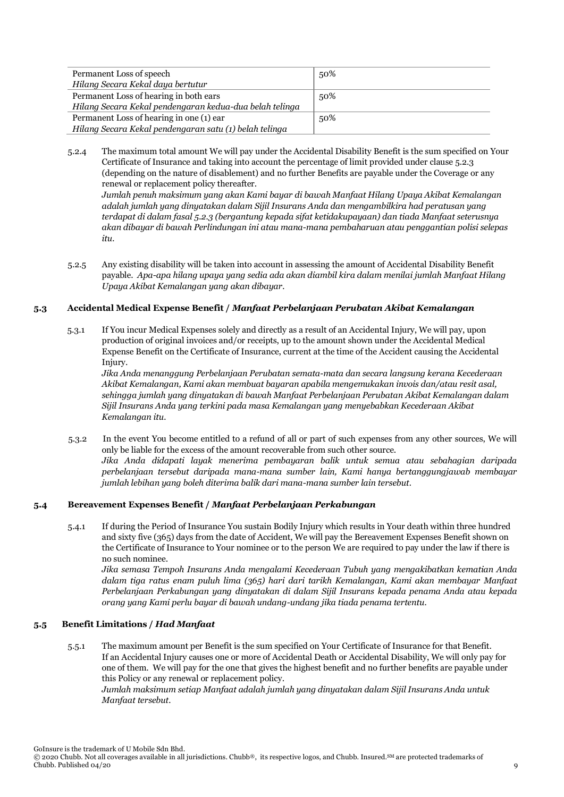| Permanent Loss of speech                                | 50% |
|---------------------------------------------------------|-----|
| Hilang Secara Kekal daya bertutur                       |     |
| Permanent Loss of hearing in both ears                  | 50% |
| Hilang Secara Kekal pendengaran kedua-dua belah telinga |     |
| Permanent Loss of hearing in one (1) ear                | 50% |
| Hilang Secara Kekal pendengaran satu (1) belah telinga  |     |

5.2.4 The maximum total amount We will pay under the Accidental Disability Benefit is the sum specified on Your Certificate of Insurance and taking into account the percentage of limit provided under clause 5.2.3 (depending on the nature of disablement) and no further Benefits are payable under the Coverage or any renewal or replacement policy thereafter.

*Jumlah penuh maksimum yang akan Kami bayar di bawah Manfaat Hilang Upaya Akibat Kemalangan adalah jumlah yang dinyatakan dalam Sijil Insurans Anda dan mengambilkira had peratusan yang terdapat di dalam fasal 5.2.3 (bergantung kepada sifat ketidakupayaan) dan tiada Manfaat seterusnya akan dibayar di bawah Perlindungan ini atau mana-mana pembaharuan atau penggantian polisi selepas itu.*

5.2.5 Any existing disability will be taken into account in assessing the amount of Accidental Disability Benefit payable. *Apa-apa hilang upaya yang sedia ada akan diambil kira dalam menilai jumlah Manfaat Hilang Upaya Akibat Kemalangan yang akan dibayar.*

# **5.3 Accidental Medical Expense Benefit /** *Manfaat Perbelanjaan Perubatan Akibat Kemalangan*

5.3.1 If You incur Medical Expenses solely and directly as a result of an Accidental Injury, We will pay, upon production of original invoices and/or receipts, up to the amount shown under the Accidental Medical Expense Benefit on the Certificate of Insurance, current at the time of the Accident causing the Accidental Injury.

*Jika Anda menanggung Perbelanjaan Perubatan semata-mata dan secara langsung kerana Kecederaan Akibat Kemalangan, Kami akan membuat bayaran apabila mengemukakan invois dan/atau resit asal, sehingga jumlah yang dinyatakan di bawah Manfaat Perbelanjaan Perubatan Akibat Kemalangan dalam Sijil Insurans Anda yang terkini pada masa Kemalangan yang menyebabkan Kecederaan Akibat Kemalangan itu.*

5.3.2 In the event You become entitled to a refund of all or part of such expenses from any other sources, We will only be liable for the excess of the amount recoverable from such other source. *Jika Anda didapati layak menerima pembayaran balik untuk semua atau sebahagian daripada perbelanjaan tersebut daripada mana-mana sumber lain, Kami hanya bertanggungjawab membayar jumlah lebihan yang boleh diterima balik dari mana-mana sumber lain tersebut.*

# **5.4 Bereavement Expenses Benefit /** *Manfaat Perbelanjaan Perkabungan*

5.4.1 If during the Period of Insurance You sustain Bodily Injury which results in Your death within three hundred and sixty five (365) days from the date of Accident, We will pay the Bereavement Expenses Benefit shown on the Certificate of Insurance to Your nominee or to the person We are required to pay under the law if there is no such nominee.

*Jika semasa Tempoh Insurans Anda mengalami Kecederaan Tubuh yang mengakibatkan kematian Anda dalam tiga ratus enam puluh lima (365) hari dari tarikh Kemalangan, Kami akan membayar Manfaat Perbelanjaan Perkabungan yang dinyatakan di dalam Sijil Insurans kepada penama Anda atau kepada orang yang Kami perlu bayar di bawah undang-undang jika tiada penama tertentu.*

# **5.5 Benefit Limitations /** *Had Manfaat*

5.5.1 The maximum amount per Benefit is the sum specified on Your Certificate of Insurance for that Benefit. If an Accidental Injury causes one or more of Accidental Death or Accidental Disability, We will only pay for one of them. We will pay for the one that gives the highest benefit and no further benefits are payable under this Policy or any renewal or replacement policy.

*Jumlah maksimum setiap Manfaat adalah jumlah yang dinyatakan dalam Sijil Insurans Anda untuk Manfaat tersebut.*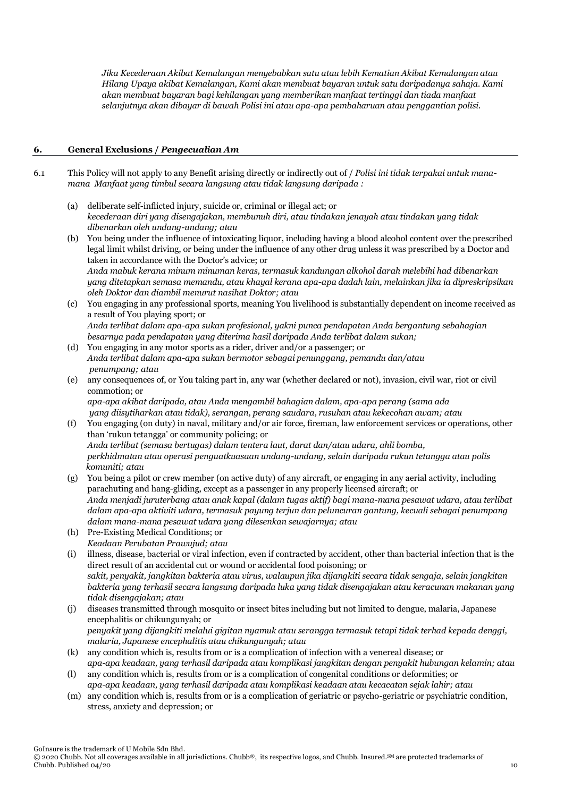*Jika Kecederaan Akibat Kemalangan menyebabkan satu atau lebih Kematian Akibat Kemalangan atau Hilang Upaya akibat Kemalangan, Kami akan membuat bayaran untuk satu daripadanya sahaja. Kami akan membuat bayaran bagi kehilangan yang memberikan manfaat tertinggi dan tiada manfaat selanjutnya akan dibayar di bawah Polisi ini atau apa-apa pembaharuan atau penggantian polisi.*

# **6. General Exclusions /** *Pengecualian Am*

- 6.1 This Policy will not apply to any Benefit arising directly or indirectly out of / *Polisi ini tidak terpakai untuk manamana Manfaat yang timbul secara langsung atau tidak langsung daripada :*
	- (a) deliberate self-inflicted injury, suicide or, criminal or illegal act; or *kecederaan diri yang disengajakan, membunuh diri, atau tindakan jenayah atau tindakan yang tidak dibenarkan oleh undang-undang; atau*
	- (b) You being under the influence of intoxicating liquor, including having a blood alcohol content over the prescribed legal limit whilst driving, or being under the influence of any other drug unless it was prescribed by a Doctor and taken in accordance with the Doctor's advice; or *Anda mabuk kerana minum minuman keras, termasuk kandungan alkohol darah melebihi had dibenarkan yang ditetapkan semasa memandu, atau khayal kerana apa-apa dadah lain, melainkan jika ia dipreskripsikan oleh Doktor dan diambil menurut nasihat Doktor; atau*
	- (c) You engaging in any professional sports, meaning You livelihood is substantially dependent on income received as a result of You playing sport; or *Anda terlibat dalam apa-apa sukan profesional, yakni punca pendapatan Anda bergantung sebahagian besarnya pada pendapatan yang diterima hasil daripada Anda terlibat dalam sukan;*
	- (d) You engaging in any motor sports as a rider, driver and/or a passenger; or *Anda terlibat dalam apa-apa sukan bermotor sebagai penunggang, pemandu dan/atau penumpang; atau*
	- (e) any consequences of, or You taking part in, any war (whether declared or not), invasion, civil war, riot or civil commotion; or

*apa-apa akibat daripada, atau Anda mengambil bahagian dalam, apa-apa perang (sama ada yang diisytiharkan atau tidak), serangan, perang saudara, rusuhan atau kekecohan awam; atau*

- (f) You engaging (on duty) in naval, military and/or air force, fireman, law enforcement services or operations, other than 'rukun tetangga' or community policing; or *Anda terlibat (semasa bertugas) dalam tentera laut, darat dan/atau udara, ahli bomba, perkhidmatan atau operasi penguatkuasaan undang-undang, selain daripada rukun tetangga atau polis komuniti; atau*
- (g) You being a pilot or crew member (on active duty) of any aircraft, or engaging in any aerial activity, including parachuting and hang-gliding, except as a passenger in any properly licensed aircraft; or *Anda menjadi juruterbang atau anak kapal (dalam tugas aktif) bagi mana-mana pesawat udara, atau terlibat dalam apa-apa aktiviti udara, termasuk payung terjun dan peluncuran gantung, kecuali sebagai penumpang dalam mana-mana pesawat udara yang dilesenkan sewajarnya; atau*
- (h) Pre-Existing Medical Conditions; or *Keadaan Perubatan Prawujud; atau*
- (i) illness, disease, bacterial or viral infection, even if contracted by accident, other than bacterial infection that is the direct result of an accidental cut or wound or accidental food poisoning; or *sakit, penyakit, jangkitan bakteria atau virus, walaupun jika dijangkiti secara tidak sengaja, selain jangkitan bakteria yang terhasil secara langsung daripada luka yang tidak disengajakan atau keracunan makanan yang tidak disengajakan; atau*
- (j) diseases transmitted through mosquito or insect bites including but not limited to dengue, malaria, Japanese encephalitis or chikungunyah; or *penyakit yang dijangkiti melalui gigitan nyamuk atau serangga termasuk tetapi tidak terhad kepada denggi, malaria, Japanese encephalitis atau chikungunyah; atau*
- (k) any condition which is, results from or is a complication of infection with a venereal disease; or *apa-apa keadaan, yang terhasil daripada atau komplikasi jangkitan dengan penyakit hubungan kelamin; atau*
- (l) any condition which is, results from or is a complication of congenital conditions or deformities; or *apa-apa keadaan, yang terhasil daripada atau komplikasi keadaan atau kecacatan sejak lahir; atau*
- (m) any condition which is, results from or is a complication of geriatric or psycho-geriatric or psychiatric condition, stress, anxiety and depression; or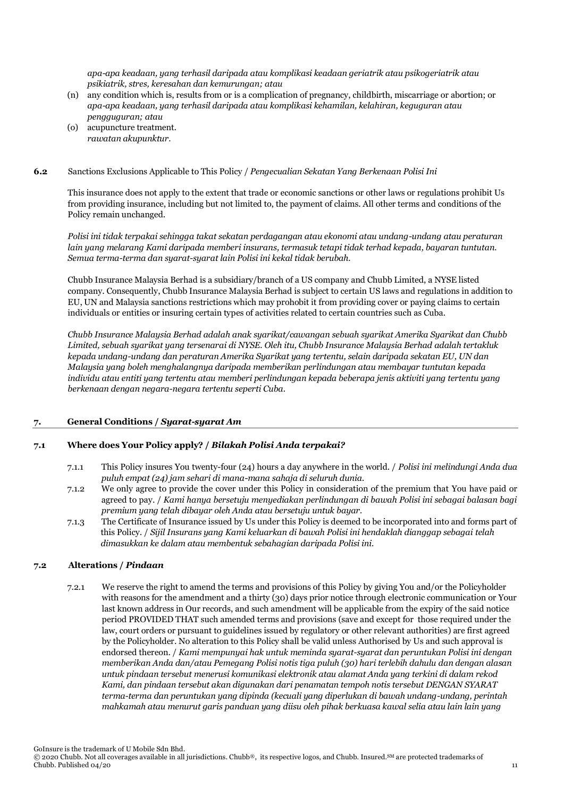*apa-apa keadaan, yang terhasil daripada atau komplikasi keadaan geriatrik atau psikogeriatrik atau psikiatrik, stres, keresahan dan kemurungan; atau*

- (n) any condition which is, results from or is a complication of pregnancy, childbirth, miscarriage or abortion; or *apa-apa keadaan, yang terhasil daripada atau komplikasi kehamilan, kelahiran, keguguran atau pengguguran; atau*
- (o) acupuncture treatment. *rawatan akupunktur.*
- **6.2** Sanctions Exclusions Applicable to This Policy / *Pengecualian Sekatan Yang Berkenaan Polisi Ini*

This insurance does not apply to the extent that trade or economic sanctions or other laws or regulations prohibit Us from providing insurance, including but not limited to, the payment of claims. All other terms and conditions of the Policy remain unchanged.

*Polisi ini tidak terpakai sehingga takat sekatan perdagangan atau ekonomi atau undang-undang atau peraturan lain yang melarang Kami daripada memberi insurans, termasuk tetapi tidak terhad kepada, bayaran tuntutan. Semua terma-terma dan syarat-syarat lain Polisi ini kekal tidak berubah.*

Chubb Insurance Malaysia Berhad is a subsidiary/branch of a US company and Chubb Limited, a NYSE listed company. Consequently, Chubb Insurance Malaysia Berhad is subject to certain US laws and regulations in addition to EU, UN and Malaysia sanctions restrictions which may prohobit it from providing cover or paying claims to certain individuals or entities or insuring certain types of activities related to certain countries such as Cuba.

*Chubb Insurance Malaysia Berhad adalah anak syarikat/cawangan sebuah syarikat Amerika Syarikat dan Chubb Limited, sebuah syarikat yang tersenarai di NYSE. Oleh itu, Chubb Insurance Malaysia Berhad adalah tertakluk kepada undang-undang dan peraturan Amerika Syarikat yang tertentu, selain daripada sekatan EU, UN dan Malaysia yang boleh menghalangnya daripada memberikan perlindungan atau membayar tuntutan kepada individu atau entiti yang tertentu atau memberi perlindungan kepada beberapa jenis aktiviti yang tertentu yang berkenaan dengan negara-negara tertentu seperti Cuba.*

# **7. General Conditions /** *Syarat-syarat Am*

# **7.1 Where does Your Policy apply? /** *Bilakah Polisi Anda terpakai?*

- 7.1.1 This Policy insures You twenty-four (24) hours a day anywhere in the world. / *Polisi ini melindungi Anda dua puluh empat (24) jam sehari di mana-mana sahaja di seluruh dunia.*
- 7.1.2 We only agree to provide the cover under this Policy in consideration of the premium that You have paid or agreed to pay. / *Kami hanya bersetuju menyediakan perlindungan di bawah Polisi ini sebagai balasan bagi premium yang telah dibayar oleh Anda atau bersetuju untuk bayar.*
- 7.1.3 The Certificate of Insurance issued by Us under this Policy is deemed to be incorporated into and forms part of this Policy. / *Sijil Insurans yang Kami keluarkan di bawah Polisi ini hendaklah dianggap sebagai telah dimasukkan ke dalam atau membentuk sebahagian daripada Polisi ini.*

# **7.2 Alterations /** *Pindaan*

7.2.1 We reserve the right to amend the terms and provisions of this Policy by giving You and/or the Policyholder with reasons for the amendment and a thirty (30) days prior notice through electronic communication or Your last known address in Our records, and such amendment will be applicable from the expiry of the said notice period PROVIDED THAT such amended terms and provisions (save and except for those required under the law, court orders or pursuant to guidelines issued by regulatory or other relevant authorities) are first agreed by the Policyholder. No alteration to this Policy shall be valid unless Authorised by Us and such approval is endorsed thereon. / *Kami mempunyai hak untuk meminda syarat-syarat dan peruntukan Polisi ini dengan memberikan Anda dan/atau Pemegang Polisi notis tiga puluh (30) hari terlebih dahulu dan dengan alasan untuk pindaan tersebut menerusi komunikasi elektronik atau alamat Anda yang terkini di dalam rekod Kami, dan pindaan tersebut akan digunakan dari penamatan tempoh notis tersebut DENGAN SYARAT terma-terma dan peruntukan yang dipinda (kecuali yang diperlukan di bawah undang-undang, perintah mahkamah atau menurut garis panduan yang diisu oleh pihak berkuasa kawal selia atau lain lain yang*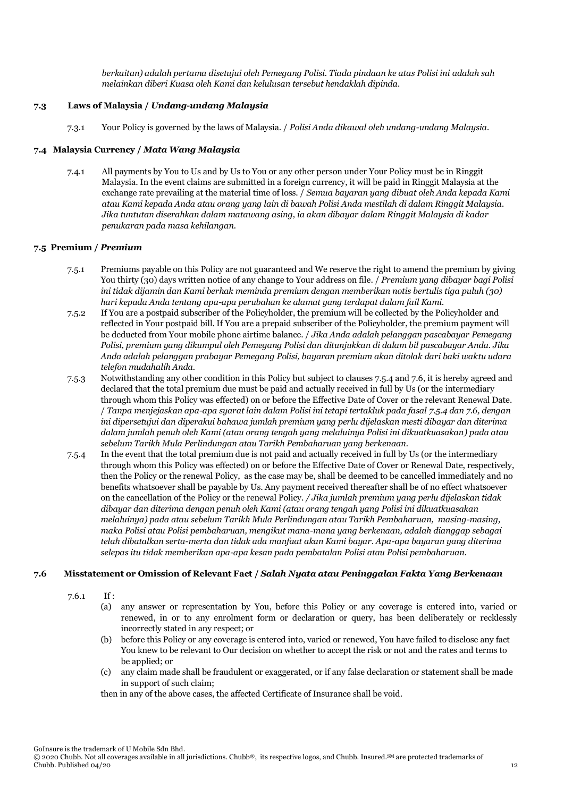*berkaitan) adalah pertama disetujui oleh Pemegang Polisi. Tiada pindaan ke atas Polisi ini adalah sah melainkan diberi Kuasa oleh Kami dan kelulusan tersebut hendaklah dipinda.*

# **7.3 Laws of Malaysia /** *Undang-undang Malaysia*

7.3.1 Your Policy is governed by the laws of Malaysia. / *Polisi Anda dikawal oleh undang-undang Malaysia.*

# **7.4 Malaysia Currency /** *Mata Wang Malaysia*

7.4.1 All payments by You to Us and by Us to You or any other person under Your Policy must be in Ringgit Malaysia. In the event claims are submitted in a foreign currency, it will be paid in Ringgit Malaysia at the exchange rate prevailing at the material time of loss. / *Semua bayaran yang dibuat oleh Anda kepada Kami atau Kami kepada Anda atau orang yang lain di bawah Polisi Anda mestilah di dalam Ringgit Malaysia. Jika tuntutan diserahkan dalam matawang asing, ia akan dibayar dalam Ringgit Malaysia di kadar penukaran pada masa kehilangan.* 

# **7.5 Premium /** *Premium*

- 7.5.1 Premiums payable on this Policy are not guaranteed and We reserve the right to amend the premium by giving You thirty (30) days written notice of any change to Your address on file. / *Premium yang dibayar bagi Polisi ini tidak dijamin dan Kami berhak meminda premium dengan memberikan notis bertulis tiga puluh (30) hari kepada Anda tentang apa-apa perubahan ke alamat yang terdapat dalam fail Kami.*
- 7.5.2 If You are a postpaid subscriber of the Policyholder, the premium will be collected by the Policyholder and reflected in Your postpaid bill. If You are a prepaid subscriber of the Policyholder, the premium payment will be deducted from Your mobile phone airtime balance. / *Jika Anda adalah pelanggan pascabayar Pemegang Polisi, premium yang dikumpul oleh Pemegang Polisi dan ditunjukkan di dalam bil pascabayar Anda. Jika Anda adalah pelanggan prabayar Pemegang Polisi, bayaran premium akan ditolak dari baki waktu udara telefon mudahalih Anda.*
- 7.5.3 Notwithstanding any other condition in this Policy but subject to clauses 7.5.4 and 7.6, it is hereby agreed and declared that the total premium due must be paid and actually received in full by Us (or the intermediary through whom this Policy was effected) on or before the Effective Date of Cover or the relevant Renewal Date. / *Tanpa menjejaskan apa-apa syarat lain dalam Polisi ini tetapi tertakluk pada fasal 7.5.4 dan 7.6, dengan ini dipersetujui dan diperakui bahawa jumlah premium yang perlu dijelaskan mesti dibayar dan diterima dalam jumlah penuh oleh Kami (atau orang tengah yang melaluinya Polisi ini dikuatkuasakan) pada atau sebelum Tarikh Mula Perlindungan atau Tarikh Pembaharuan yang berkenaan.*
- 7.5.4 In the event that the total premium due is not paid and actually received in full by Us (or the intermediary through whom this Policy was effected) on or before the Effective Date of Cover or Renewal Date, respectively, then the Policy or the renewal Policy, as the case may be, shall be deemed to be cancelled immediately and no benefits whatsoever shall be payable by Us. Any payment received thereafter shall be of no effect whatsoever on the cancellation of the Policy or the renewal Policy. */ Jika jumlah premium yang perlu dijelaskan tidak dibayar dan diterima dengan penuh oleh Kami (atau orang tengah yang Polisi ini dikuatkuasakan melaluinya) pada atau sebelum Tarikh Mula Perlindungan atau Tarikh Pembaharuan, masing-masing, maka Polisi atau Polisi pembaharuan, mengikut mana-mana yang berkenaan, adalah dianggap sebagai telah dibatalkan serta-merta dan tidak ada manfaat akan Kami bayar. Apa-apa bayaran yang diterima selepas itu tidak memberikan apa-apa kesan pada pembatalan Polisi atau Polisi pembaharuan.*

# **7.6 Misstatement or Omission of Relevant Fact /** *Salah Nyata atau Peninggalan Fakta Yang Berkenaan*

7.6.1 If :

- (a) any answer or representation by You, before this Policy or any coverage is entered into, varied or renewed, in or to any enrolment form or declaration or query, has been deliberately or recklessly incorrectly stated in any respect; or
- (b) before this Policy or any coverage is entered into, varied or renewed, You have failed to disclose any fact You knew to be relevant to Our decision on whether to accept the risk or not and the rates and terms to be applied; or
- (c) any claim made shall be fraudulent or exaggerated, or if any false declaration or statement shall be made in support of such claim;
- then in any of the above cases, the affected Certificate of Insurance shall be void.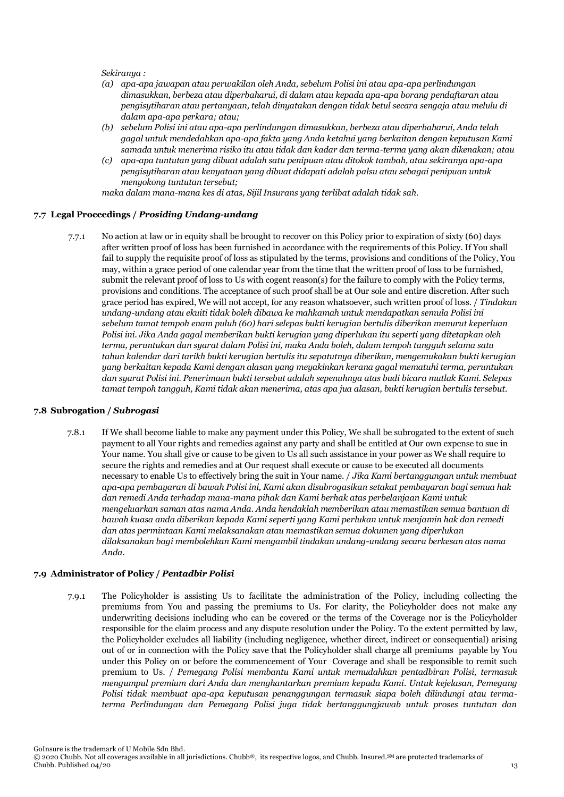*Sekiranya :* 

- *(a) apa-apa jawapan atau perwakilan oleh Anda, sebelum Polisi ini atau apa-apa perlindungan dimasukkan, berbeza atau diperbaharui, di dalam atau kepada apa-apa borang pendaftaran atau pengisytiharan atau pertanyaan, telah dinyatakan dengan tidak betul secara sengaja atau melulu di dalam apa-apa perkara; atau;*
- *(b) sebelum Polisi ini atau apa-apa perlindungan dimasukkan, berbeza atau diperbaharui, Anda telah gagal untuk mendedahkan apa-apa fakta yang Anda ketahui yang berkaitan dengan keputusan Kami samada untuk menerima risiko itu atau tidak dan kadar dan terma-terma yang akan dikenakan; atau*
- *(c) apa-apa tuntutan yang dibuat adalah satu penipuan atau ditokok tambah, atau sekiranya apa-apa pengisytiharan atau kenyataan yang dibuat didapati adalah palsu atau sebagai penipuan untuk menyokong tuntutan tersebut;*

*maka dalam mana-mana kes di atas, Sijil Insurans yang terlibat adalah tidak sah.*

#### **7.7 Legal Proceedings /** *Prosiding Undang-undang*

7.7.1 No action at law or in equity shall be brought to recover on this Policy prior to expiration of sixty (60) days after written proof of loss has been furnished in accordance with the requirements of this Policy. If You shall fail to supply the requisite proof of loss as stipulated by the terms, provisions and conditions of the Policy, You may, within a grace period of one calendar year from the time that the written proof of loss to be furnished, submit the relevant proof of loss to Us with cogent reason(s) for the failure to comply with the Policy terms, provisions and conditions. The acceptance of such proof shall be at Our sole and entire discretion. After such grace period has expired, We will not accept, for any reason whatsoever, such written proof of loss. / *Tindakan undang-undang atau ekuiti tidak boleh dibawa ke mahkamah untuk mendapatkan semula Polisi ini sebelum tamat tempoh enam puluh (60) hari selepas bukti kerugian bertulis diberikan menurut keperluan Polisi ini. Jika Anda gagal memberikan bukti kerugian yang diperlukan itu seperti yang ditetapkan oleh terma, peruntukan dan syarat dalam Polisi ini, maka Anda boleh, dalam tempoh tangguh selama satu tahun kalendar dari tarikh bukti kerugian bertulis itu sepatutnya diberikan, mengemukakan bukti kerugian yang berkaitan kepada Kami dengan alasan yang meyakinkan kerana gagal mematuhi terma, peruntukan dan syarat Polisi ini. Penerimaan bukti tersebut adalah sepenuhnya atas budi bicara mutlak Kami. Selepas tamat tempoh tangguh, Kami tidak akan menerima, atas apa jua alasan, bukti kerugian bertulis tersebut.*

#### **7.8 Subrogation /** *Subrogasi*

7.8.1 If We shall become liable to make any payment under this Policy, We shall be subrogated to the extent of such payment to all Your rights and remedies against any party and shall be entitled at Our own expense to sue in Your name. You shall give or cause to be given to Us all such assistance in your power as We shall require to secure the rights and remedies and at Our request shall execute or cause to be executed all documents necessary to enable Us to effectively bring the suit in Your name. / *Jika Kami bertanggungan untuk membuat apa-apa pembayaran di bawah Polisi ini, Kami akan disubrogasikan setakat pembayaran bagi semua hak dan remedi Anda terhadap mana-mana pihak dan Kami berhak atas perbelanjaan Kami untuk mengeluarkan saman atas nama Anda. Anda hendaklah memberikan atau memastikan semua bantuan di bawah kuasa anda diberikan kepada Kami seperti yang Kami perlukan untuk menjamin hak dan remedi dan atas permintaan Kami melaksanakan atau memastikan semua dokumen yang diperlukan dilaksanakan bagi membolehkan Kami mengambil tindakan undang-undang secara berkesan atas nama Anda.*

#### **7.9 Administrator of Policy /** *Pentadbir Polisi*

7.9.1 The Policyholder is assisting Us to facilitate the administration of the Policy, including collecting the premiums from You and passing the premiums to Us. For clarity, the Policyholder does not make any underwriting decisions including who can be covered or the terms of the Coverage nor is the Policyholder responsible for the claim process and any dispute resolution under the Policy. To the extent permitted by law, the Policyholder excludes all liability (including negligence, whether direct, indirect or consequential) arising out of or in connection with the Policy save that the Policyholder shall charge all premiums payable by You under this Policy on or before the commencement of Your Coverage and shall be responsible to remit such premium to Us. / *Pemegang Polisi membantu Kami untuk memudahkan pentadbiran Polisi, termasuk mengumpul premium dari Anda dan menghantarkan premium kepada Kami. Untuk kejelasan, Pemegang Polisi tidak membuat apa-apa keputusan penanggungan termasuk siapa boleh dilindungi atau termaterma Perlindungan dan Pemegang Polisi juga tidak bertanggungjawab untuk proses tuntutan dan*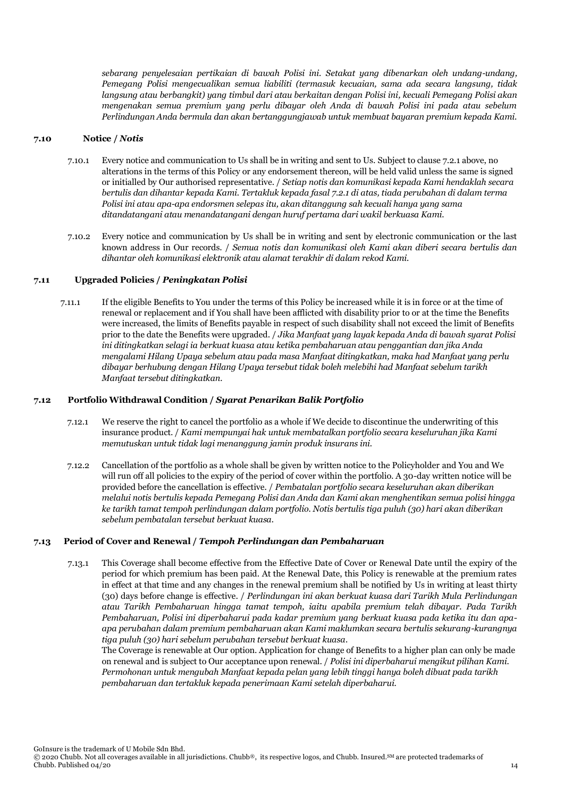*sebarang penyelesaian pertikaian di bawah Polisi ini. Setakat yang dibenarkan oleh undang-undang, Pemegang Polisi mengecualikan semua liabiliti (termasuk kecuaian, sama ada secara langsung, tidak langsung atau berbangkit) yang timbul dari atau berkaitan dengan Polisi ini, kecuali Pemegang Polisi akan mengenakan semua premium yang perlu dibayar oleh Anda di bawah Polisi ini pada atau sebelum Perlindungan Anda bermula dan akan bertanggungjawab untuk membuat bayaran premium kepada Kami.* 

#### **7.10 Notice /** *Notis*

- 7.10.1 Every notice and communication to Us shall be in writing and sent to Us. Subject to clause 7.2.1 above, no alterations in the terms of this Policy or any endorsement thereon, will be held valid unless the same is signed or initialled by Our authorised representative. / *Setiap notis dan komunikasi kepada Kami hendaklah secara bertulis dan dihantar kepada Kami. Tertakluk kepada fasal 7.2.1 di atas, tiada perubahan di dalam terma Polisi ini atau apa-apa endorsmen selepas itu, akan ditanggung sah kecuali hanya yang sama ditandatangani atau menandatangani dengan huruf pertama dari wakil berkuasa Kami.*
- 7.10.2 Every notice and communication by Us shall be in writing and sent by electronic communication or the last known address in Our records. / *Semua notis dan komunikasi oleh Kami akan diberi secara bertulis dan dihantar oleh komunikasi elektronik atau alamat terakhir di dalam rekod Kami.*

#### **7.11 Upgraded Policies /** *Peningkatan Polisi*

7.11.1 If the eligible Benefits to You under the terms of this Policy be increased while it is in force or at the time of renewal or replacement and if You shall have been afflicted with disability prior to or at the time the Benefits were increased, the limits of Benefits payable in respect of such disability shall not exceed the limit of Benefits prior to the date the Benefits were upgraded. / *Jika Manfaat yang layak kepada Anda di bawah syarat Polisi ini ditingkatkan selagi ia berkuat kuasa atau ketika pembaharuan atau penggantian dan jika Anda mengalami Hilang Upaya sebelum atau pada masa Manfaat ditingkatkan, maka had Manfaat yang perlu dibayar berhubung dengan Hilang Upaya tersebut tidak boleh melebihi had Manfaat sebelum tarikh Manfaat tersebut ditingkatkan.*

#### **7.12 Portfolio Withdrawal Condition /** *Syarat Penarikan Balik Portfolio*

- 7.12.1 We reserve the right to cancel the portfolio as a whole if We decide to discontinue the underwriting of this insurance product. / *Kami mempunyai hak untuk membatalkan portfolio secara keseluruhan jika Kami memutuskan untuk tidak lagi menanggung jamin produk insurans ini.*
- 7.12.2 Cancellation of the portfolio as a whole shall be given by written notice to the Policyholder and You and We will run off all policies to the expiry of the period of cover within the portfolio. A 30-day written notice will be provided before the cancellation is effective. / *Pembatalan portfolio secara keseluruhan akan diberikan melalui notis bertulis kepada Pemegang Polisi dan Anda dan Kami akan menghentikan semua polisi hingga ke tarikh tamat tempoh perlindungan dalam portfolio. Notis bertulis tiga puluh (30) hari akan diberikan sebelum pembatalan tersebut berkuat kuasa.*

#### **7.13 Period of Cover and Renewal /** *Tempoh Perlindungan dan Pembaharuan*

7.13.1 This Coverage shall become effective from the Effective Date of Cover or Renewal Date until the expiry of the period for which premium has been paid. At the Renewal Date, this Policy is renewable at the premium rates in effect at that time and any changes in the renewal premium shall be notified by Us in writing at least thirty (30) days before change is effective. / *Perlindungan ini akan berkuat kuasa dari Tarikh Mula Perlindungan atau Tarikh Pembaharuan hingga tamat tempoh, iaitu apabila premium telah dibayar. Pada Tarikh Pembaharuan, Polisi ini diperbaharui pada kadar premium yang berkuat kuasa pada ketika itu dan apaapa perubahan dalam premium pembaharuan akan Kami maklumkan secara bertulis sekurang-kurangnya tiga puluh (30) hari sebelum perubahan tersebut berkuat kuasa.*

The Coverage is renewable at Our option. Application for change of Benefits to a higher plan can only be made on renewal and is subject to Our acceptance upon renewal. / *Polisi ini diperbaharui mengikut pilihan Kami. Permohonan untuk mengubah Manfaat kepada pelan yang lebih tinggi hanya boleh dibuat pada tarikh pembaharuan dan tertakluk kepada penerimaan Kami setelah diperbaharui.*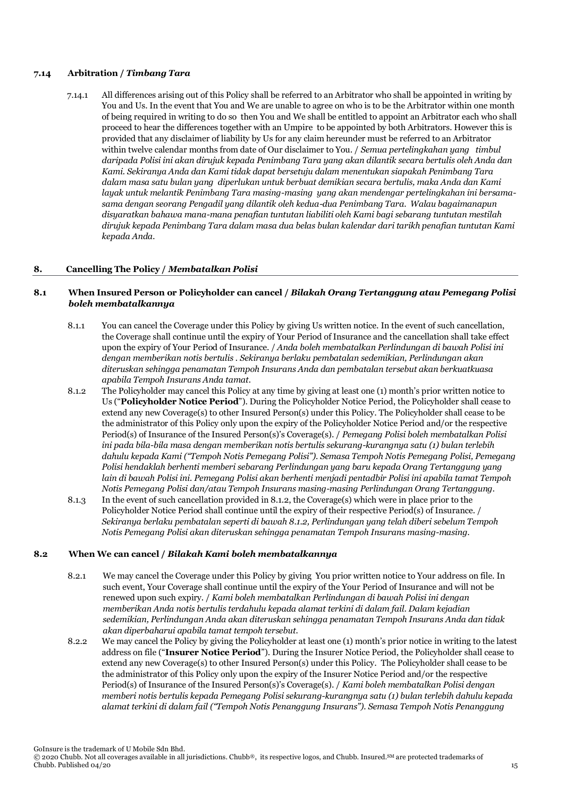#### **7.14 Arbitration /** *Timbang Tara*

7.14.1 All differences arising out of this Policy shall be referred to an Arbitrator who shall be appointed in writing by You and Us. In the event that You and We are unable to agree on who is to be the Arbitrator within one month of being required in writing to do so then You and We shall be entitled to appoint an Arbitrator each who shall proceed to hear the differences together with an Umpire to be appointed by both Arbitrators. However this is provided that any disclaimer of liability by Us for any claim hereunder must be referred to an Arbitrator within twelve calendar months from date of Our disclaimer to You. / *Semua pertelingkahan yang timbul daripada Polisi ini akan dirujuk kepada Penimbang Tara yang akan dilantik secara bertulis oleh Anda dan Kami. Sekiranya Anda dan Kami tidak dapat bersetuju dalam menentukan siapakah Penimbang Tara dalam masa satu bulan yang diperlukan untuk berbuat demikian secara bertulis, maka Anda dan Kami layak untuk melantik Penimbang Tara masing-masing yang akan mendengar pertelingkahan ini bersamasama dengan seorang Pengadil yang dilantik oleh kedua-dua Penimbang Tara. Walau bagaimanapun disyaratkan bahawa mana-mana penafian tuntutan liabiliti oleh Kami bagi sebarang tuntutan mestilah dirujuk kepada Penimbang Tara dalam masa dua belas bulan kalendar dari tarikh penafian tuntutan Kami kepada Anda.*

#### **8. Cancelling The Policy /** *Membatalkan Polisi*

#### **8.1 When Insured Person or Policyholder can cancel /** *Bilakah Orang Tertanggung atau Pemegang Polisi boleh membatalkannya*

- 8.1.1 You can cancel the Coverage under this Policy by giving Us written notice. In the event of such cancellation, the Coverage shall continue until the expiry of Your Period of Insurance and the cancellation shall take effect upon the expiry of Your Period of Insurance. / *Anda boleh membatalkan Perlindungan di bawah Polisi ini dengan memberikan notis bertulis . Sekiranya berlaku pembatalan sedemikian, Perlindungan akan diteruskan sehingga penamatan Tempoh Insurans Anda dan pembatalan tersebut akan berkuatkuasa apabila Tempoh Insurans Anda tamat.*
- 8.1.2 The Policyholder may cancel this Policy at any time by giving at least one (1) month's prior written notice to Us ("**Policyholder Notice Period**"). During the Policyholder Notice Period, the Policyholder shall cease to extend any new Coverage(s) to other Insured Person(s) under this Policy. The Policyholder shall cease to be the administrator of this Policy only upon the expiry of the Policyholder Notice Period and/or the respective Period(s) of Insurance of the Insured Person(s)'s Coverage(s). / *Pemegang Polisi boleh membatalkan Polisi ini pada bila-bila masa dengan memberikan notis bertulis sekurang-kurangnya satu (1) bulan terlebih dahulu kepada Kami ("Tempoh Notis Pemegang Polisi"). Semasa Tempoh Notis Pemegang Polisi, Pemegang Polisi hendaklah berhenti memberi sebarang Perlindungan yang baru kepada Orang Tertanggung yang lain di bawah Polisi ini. Pemegang Polisi akan berhenti menjadi pentadbir Polisi ini apabila tamat Tempoh Notis Pemegang Polisi dan/atau Tempoh Insurans masing-masing Perlindungan Orang Tertanggung.*
- 8.1.3 In the event of such cancellation provided in 8.1.2, the Coverage(s) which were in place prior to the Policyholder Notice Period shall continue until the expiry of their respective Period(s) of Insurance. / *Sekiranya berlaku pembatalan seperti di bawah 8.1.2, Perlindungan yang telah diberi sebelum Tempoh Notis Pemegang Polisi akan diteruskan sehingga penamatan Tempoh Insurans masing-masing.*

#### **8.2 When We can cancel /** *Bilakah Kami boleh membatalkannya*

- 8.2.1 We may cancel the Coverage under this Policy by giving You prior written notice to Your address on file. In such event, Your Coverage shall continue until the expiry of the Your Period of Insurance and will not be renewed upon such expiry. / *Kami boleh membatalkan Perlindungan di bawah Polisi ini dengan memberikan Anda notis bertulis terdahulu kepada alamat terkini di dalam fail. Dalam kejadian sedemikian, Perlindungan Anda akan diteruskan sehingga penamatan Tempoh Insurans Anda dan tidak akan diperbaharui apabila tamat tempoh tersebut.*
- 8.2.2 We may cancel the Policy by giving the Policyholder at least one (1) month's prior notice in writing to the latest address on file ("**Insurer Notice Period**"). During the Insurer Notice Period, the Policyholder shall cease to extend any new Coverage(s) to other Insured Person(s) under this Policy. The Policyholder shall cease to be the administrator of this Policy only upon the expiry of the Insurer Notice Period and/or the respective Period(s) of Insurance of the Insured Person(s)'s Coverage(s). / *Kami boleh membatalkan Polisi dengan memberi notis bertulis kepada Pemegang Polisi sekurang-kurangnya satu (1) bulan terlebih dahulu kepada alamat terkini di dalam fail ("Tempoh Notis Penanggung Insurans"). Semasa Tempoh Notis Penanggung*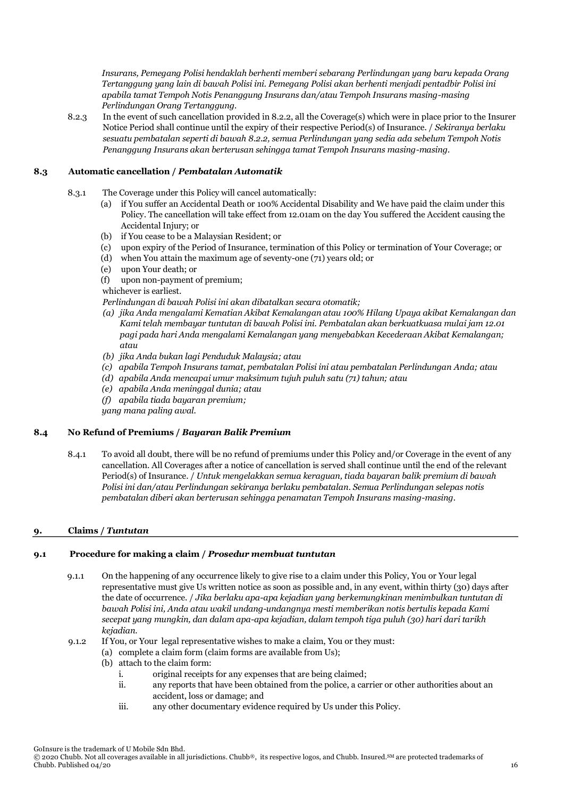*Insurans, Pemegang Polisi hendaklah berhenti memberi sebarang Perlindungan yang baru kepada Orang Tertanggung yang lain di bawah Polisi ini. Pemegang Polisi akan berhenti menjadi pentadbir Polisi ini apabila tamat Tempoh Notis Penanggung Insurans dan/atau Tempoh Insurans masing-masing Perlindungan Orang Tertanggung.* 

8.2.3 In the event of such cancellation provided in 8.2.2, all the Coverage(s) which were in place prior to the Insurer Notice Period shall continue until the expiry of their respective Period(s) of Insurance. / *Sekiranya berlaku sesuatu pembatalan seperti di bawah 8.2.2, semua Perlindungan yang sedia ada sebelum Tempoh Notis Penanggung Insurans akan berterusan sehingga tamat Tempoh Insurans masing-masing.* 

# **8.3 Automatic cancellation /** *Pembatalan Automatik*

- 8.3.1 The Coverage under this Policy will cancel automatically:
	- (a) if You suffer an Accidental Death or 100% Accidental Disability and We have paid the claim under this Policy. The cancellation will take effect from 12.01am on the day You suffered the Accident causing the Accidental Injury; or
	- (b) if You cease to be a Malaysian Resident; or
	- (c) upon expiry of the Period of Insurance, termination of this Policy or termination of Your Coverage; or
	- (d) when You attain the maximum age of seventy-one (71) years old; or
	- (e) upon Your death; or
	- (f) upon non-payment of premium;

whichever is earliest.

- *Perlindungan di bawah Polisi ini akan dibatalkan secara otomatik;*
- *(a) jika Anda mengalami Kematian Akibat Kemalangan atau 100% Hilang Upaya akibat Kemalangan dan Kami telah membayar tuntutan di bawah Polisi ini. Pembatalan akan berkuatkuasa mulai jam 12.01 pagi pada hari Anda mengalami Kemalangan yang menyebabkan Kecederaan Akibat Kemalangan; atau*
- *(b) jika Anda bukan lagi Penduduk Malaysia; atau*
- *(c) apabila Tempoh Insurans tamat, pembatalan Polisi ini atau pembatalan Perlindungan Anda; atau*
- *(d) apabila Anda mencapai umur maksimum tujuh puluh satu (71) tahun; atau*
- *(e) apabila Anda meninggal dunia; atau*
- *(f) apabila tiada bayaran premium;*
- *yang mana paling awal.*

# **8.4 No Refund of Premiums /** *Bayaran Balik Premium*

8.4.1 To avoid all doubt, there will be no refund of premiums under this Policy and/or Coverage in the event of any cancellation. All Coverages after a notice of cancellation is served shall continue until the end of the relevant Period(s) of Insurance. / *Untuk mengelakkan semua keraguan, tiada bayaran balik premium di bawah Polisi ini dan/atau Perlindungan sekiranya berlaku pembatalan. Semua Perlindungan selepas notis pembatalan diberi akan berterusan sehingga penamatan Tempoh Insurans masing-masing.*

# **9. Claims /** *Tuntutan*

# **9.1 Procedure for making a claim /** *Prosedur membuat tuntutan*

- 9.1.1 On the happening of any occurrence likely to give rise to a claim under this Policy, You or Your legal representative must give Us written notice as soon as possible and, in any event, within thirty (30) days after the date of occurrence. / *Jika berlaku apa-apa kejadian yang berkemungkinan menimbulkan tuntutan di bawah Polisi ini, Anda atau wakil undang-undangnya mesti memberikan notis bertulis kepada Kami secepat yang mungkin, dan dalam apa-apa kejadian, dalam tempoh tiga puluh (30) hari dari tarikh kejadian.*
- 9.1.2 If You, or Your legal representative wishes to make a claim, You or they must:
	- (a) complete a claim form (claim forms are available from Us);
	- (b) attach to the claim form:
		- i. original receipts for any expenses that are being claimed;
		- ii. any reports that have been obtained from the police, a carrier or other authorities about an accident, loss or damage; and
		- iii. any other documentary evidence required by Us under this Policy.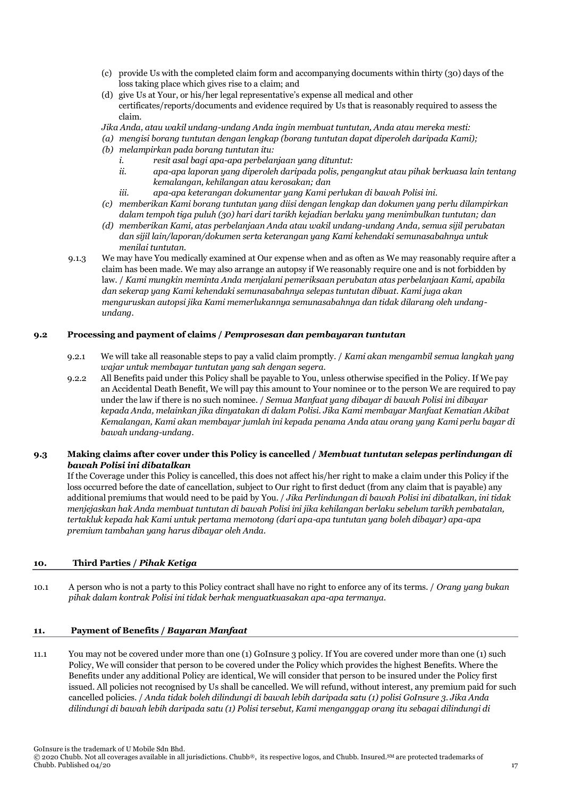- (c) provide Us with the completed claim form and accompanying documents within thirty (30) days of the loss taking place which gives rise to a claim; and
- (d) give Us at Your, or his/her legal representative's expense all medical and other certificates/reports/documents and evidence required by Us that is reasonably required to assess the claim.
- *Jika Anda, atau wakil undang-undang Anda ingin membuat tuntutan, Anda atau mereka mesti:*
- *(a) mengisi borang tuntutan dengan lengkap (borang tuntutan dapat diperoleh daripada Kami);*
- *(b) melampirkan pada borang tuntutan itu:*
	- *i. resit asal bagi apa-apa perbelanjaan yang dituntut:*
	- *ii. apa-apa laporan yang diperoleh daripada polis, pengangkut atau pihak berkuasa lain tentang kemalangan, kehilangan atau kerosakan; dan*
	- *iii. apa-apa keterangan dokumentar yang Kami perlukan di bawah Polisi ini.*
- *(c) memberikan Kami borang tuntutan yang diisi dengan lengkap dan dokumen yang perlu dilampirkan dalam tempoh tiga puluh (30) hari dari tarikh kejadian berlaku yang menimbulkan tuntutan; dan*
- *(d) memberikan Kami, atas perbelanjaan Anda atau wakil undang-undang Anda, semua sijil perubatan dan sijil lain/laporan/dokumen serta keterangan yang Kami kehendaki semunasabahnya untuk menilai tuntutan.*
- 9.1.3 We may have You medically examined at Our expense when and as often as We may reasonably require after a claim has been made. We may also arrange an autopsy if We reasonably require one and is not forbidden by law. / *Kami mungkin meminta Anda menjalani pemeriksaan perubatan atas perbelanjaan Kami, apabila dan sekerap yang Kami kehendaki semunasabahnya selepas tuntutan dibuat. Kami juga akan menguruskan autopsi jika Kami memerlukannya semunasabahnya dan tidak dilarang oleh undangundang.*

#### **9.2 Processing and payment of claims /** *Pemprosesan dan pembayaran tuntutan*

- 9.2.1 We will take all reasonable steps to pay a valid claim promptly. / *Kami akan mengambil semua langkah yang wajar untuk membayar tuntutan yang sah dengan segera.*
- 9.2.2 All Benefits paid under this Policy shall be payable to You, unless otherwise specified in the Policy. If We pay an Accidental Death Benefit, We will pay this amount to Your nominee or to the person We are required to pay under the law if there is no such nominee. / *Semua Manfaat yang dibayar di bawah Polisi ini dibayar kepada Anda, melainkan jika dinyatakan di dalam Polisi. Jika Kami membayar Manfaat Kematian Akibat Kemalangan, Kami akan membayar jumlah ini kepada penama Anda atau orang yang Kami perlu bayar di bawah undang-undang.*

# **9.3 Making claims after cover under this Policy is cancelled /** *Membuat tuntutan selepas perlindungan di bawah Polisi ini dibatalkan*

If the Coverage under this Policy is cancelled, this does not affect his/her right to make a claim under this Policy if the loss occurred before the date of cancellation, subject to Our right to first deduct (from any claim that is payable) any additional premiums that would need to be paid by You. / *Jika Perlindungan di bawah Polisi ini dibatalkan, ini tidak menjejaskan hak Anda membuat tuntutan di bawah Polisi ini jika kehilangan berlaku sebelum tarikh pembatalan, tertakluk kepada hak Kami untuk pertama memotong (dari apa-apa tuntutan yang boleh dibayar) apa-apa premium tambahan yang harus dibayar oleh Anda.* 

# **10. Third Parties /** *Pihak Ketiga*

10.1 A person who is not a party to this Policy contract shall have no right to enforce any of its terms. / *Orang yang bukan pihak dalam kontrak Polisi ini tidak berhak menguatkuasakan apa-apa termanya.*

# **11. Payment of Benefits /** *Bayaran Manfaat*

11.1 You may not be covered under more than one (1) GoInsure 3 policy. If You are covered under more than one (1) such Policy, We will consider that person to be covered under the Policy which provides the highest Benefits. Where the Benefits under any additional Policy are identical, We will consider that person to be insured under the Policy first issued. All policies not recognised by Us shall be cancelled. We will refund, without interest, any premium paid for such cancelled policies. / *Anda tidak boleh dilindungi di bawah lebih daripada satu (1) polisi GoInsure 3. Jika Anda dilindungi di bawah lebih daripada satu (1) Polisi tersebut, Kami menganggap orang itu sebagai dilindungi di* 

<sup>© 2020</sup> Chubb. Not all coverages available in all jurisdictions. Chubb®, its respective logos, and Chubb. Insured.SM are protected trademarks of Chubb. Published 04/20  $\frac{17}{17}$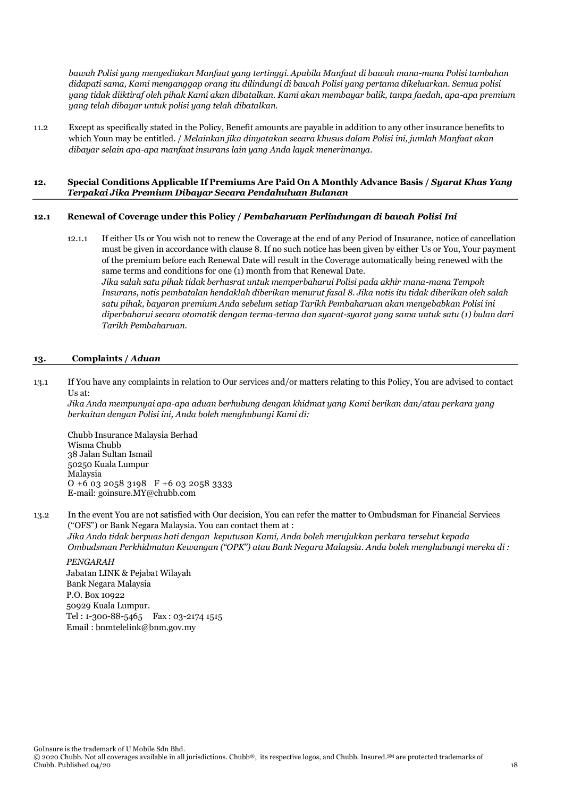*bawah Polisi yang menyediakan Manfaat yang tertinggi. Apabila Manfaat di bawah mana-mana Polisi tambahan didapati sama, Kami menganggap orang itu dilindungi di bawah Polisi yang pertama dikeluarkan. Semua polisi yang tidak diiktiraf oleh pihak Kami akan dibatalkan. Kami akan membayar balik, tanpa faedah, apa-apa premium yang telah dibayar untuk polisi yang telah dibatalkan.*

11.2 Except as specifically stated in the Policy, Benefit amounts are payable in addition to any other insurance benefits to which Youn may be entitled. / *Melainkan jika dinyatakan secara khusus dalam Polisi ini, jumlah Manfaat akan dibayar selain apa-apa manfaat insurans lain yang Anda layak menerimanya.*

#### **12. Special Conditions Applicable If Premiums Are Paid On A Monthly Advance Basis /** *Syarat Khas Yang Terpakai Jika Premium Dibayar Secara Pendahuluan Bulanan*

#### **12.1 Renewal of Coverage under this Policy /** *Pembaharuan Perlindungan di bawah Polisi Ini*

12.1.1 If either Us or You wish not to renew the Coverage at the end of any Period of Insurance, notice of cancellation must be given in accordance with clause 8. If no such notice has been given by either Us or You, Your payment of the premium before each Renewal Date will result in the Coverage automatically being renewed with the same terms and conditions for one (1) month from that Renewal Date. *Jika salah satu pihak tidak berhasrat untuk memperbaharui Polisi pada akhir mana-mana Tempoh Insurans, notis pembatalan hendaklah diberikan menurut fasal 8. Jika notis itu tidak diberikan oleh salah satu pihak, bayaran premium Anda sebelum setiap Tarikh Pembaharuan akan menyebabkan Polisi ini diperbaharui secara otomatik dengan terma-terma dan syarat-syarat yang sama untuk satu (1) bulan dari Tarikh Pembaharuan.*

#### **13. Complaints /** *Aduan*

13.1 If You have any complaints in relation to Our services and/or matters relating to this Policy, You are advised to contact Us at:

*Jika Anda mempunyai apa-apa aduan berhubung dengan khidmat yang Kami berikan dan/atau perkara yang berkaitan dengan Polisi ini, Anda boleh menghubungi Kami di:*

Chubb Insurance Malaysia Berhad Wisma Chubb 38 Jalan Sultan Ismail 50250 Kuala Lumpur Malaysia O +6 03 2058 3198 F +6 03 2058 3333 E-mail: goinsure.MY@chubb.com

13.2 In the event You are not satisfied with Our decision, You can refer the matter to Ombudsman for Financial Services ("OFS") or Bank Negara Malaysia. You can contact them at : *Jika Anda tidak berpuas hati dengan keputusan Kami, Anda boleh merujukkan perkara tersebut kepada* 

*Ombudsman Perkhidmatan Kewangan ("OPK") atau Bank Negara Malaysia. Anda boleh menghubungi mereka di :*

# *PENGARAH*

 Jabatan LINK & Pejabat Wilayah Bank Negara Malaysia P.O. Box 10922 50929 Kuala Lumpur. Tel : 1-300-88-5465 Fax : 03-2174 1515 Email : bnmtelelink@bnm.gov.my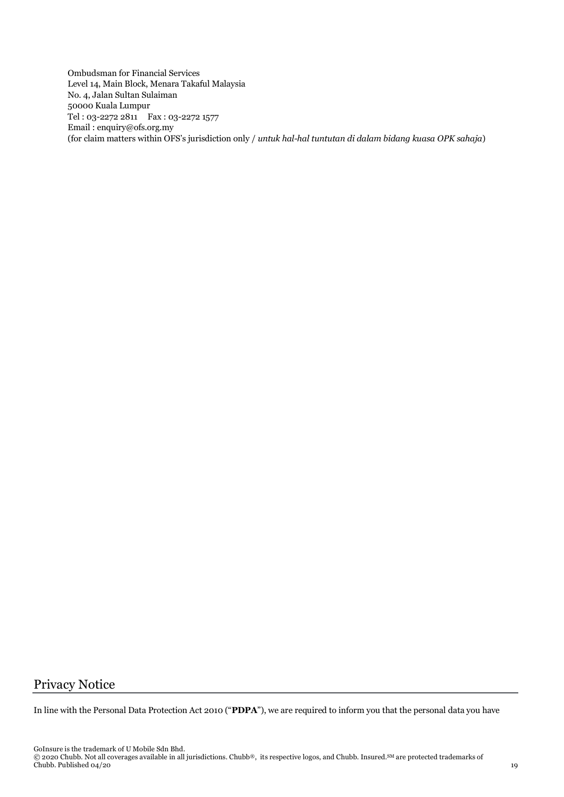Ombudsman for Financial Services Level 14, Main Block, Menara Takaful Malaysia No. 4, Jalan Sultan Sulaiman 50000 Kuala Lumpur Tel : 03-2272 2811 Fax : 03-2272 1577 Email : enquiry@ofs.org.my (for claim matters within OFS's jurisdiction only / *untuk hal-hal tuntutan di dalam bidang kuasa OPK sahaja*)

# Privacy Notice

In line with the Personal Data Protection Act 2010 ("**PDPA**"), we are required to inform you that the personal data you have

GoInsure is the trademark of U Mobile Sdn Bhd.

 $\degree$  2020 Chubb. Not all coverages available in all jurisdictions. Chubb®, its respective logos, and Chubb. Insured.<sup>SM</sup> are protected trademarks of Chubb. Published 04/20  $19$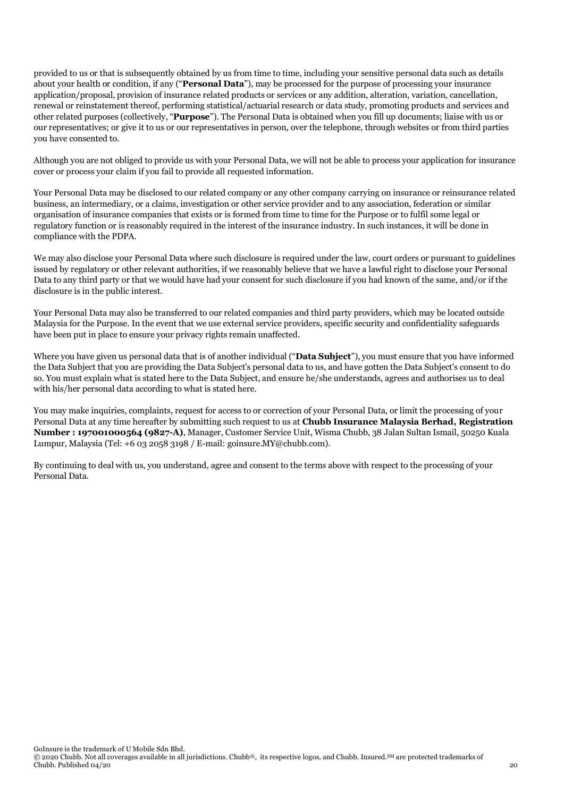provided to us or that is subsequently obtained by us from time to time, including your sensitive personal data such as details about your health or condition, if any ("**Personal Data**"), may be processed for the purpose of processing your insurance application/proposal, provision of insurance related products or services or any addition, alteration, variation, cancellation, renewal or reinstatement thereof, performing statistical/actuarial research or data study, promoting products and services and other related purposes (collectively, "**Purpose**"). The Personal Data is obtained when you fill up documents; liaise with us or our representatives; or give it to us or our representatives in person, over the telephone, through websites or from third parties you have consented to.

Although you are not obliged to provide us with your Personal Data, we will not be able to process your application for insurance cover or process your claim if you fail to provide all requested information.

Your Personal Data may be disclosed to our related company or any other company carrying on insurance or reinsurance related business, an intermediary, or a claims, investigation or other service provider and to any association, federation or similar organisation of insurance companies that exists or is formed from time to time for the Purpose or to fulfil some legal or regulatory function or is reasonably required in the interest of the insurance industry. In such instances, it will be done in compliance with the PDPA.

We may also disclose your Personal Data where such disclosure is required under the law, court orders or pursuant to guidelines issued by regulatory or other relevant authorities, if we reasonably believe that we have a lawful right to disclose your Personal Data to any third party or that we would have had your consent for such disclosure if you had known of the same, and/or if the disclosure is in the public interest.

Your Personal Data may also be transferred to our related companies and third party providers, which may be located outside Malaysia for the Purpose. In the event that we use external service providers, specific security and confidentiality safeguards have been put in place to ensure your privacy rights remain unaffected.

Where you have given us personal data that is of another individual ("**Data Subject**"), you must ensure that you have informed the Data Subject that you are providing the Data Subject's personal data to us, and have gotten the Data Subject's consent to do so. You must explain what is stated here to the Data Subject, and ensure he/she understands, agrees and authorises us to deal with his/her personal data according to what is stated here.

You may make inquiries, complaints, request for access to or correction of your Personal Data, or limit the processing of your Personal Data at any time hereafter by submitting such request to us at **Chubb Insurance Malaysia Berhad, Registration Number : 197001000564 (9827-A)**, Manager, Customer Service Unit, Wisma Chubb, 38 Jalan Sultan Ismail, 50250 Kuala Lumpur, Malaysia (Tel: +6 03 2058 3198 / E-mail: goinsure.MY@chubb.com).

By continuing to deal with us, you understand, agree and consent to the terms above with respect to the processing of your Personal Data.